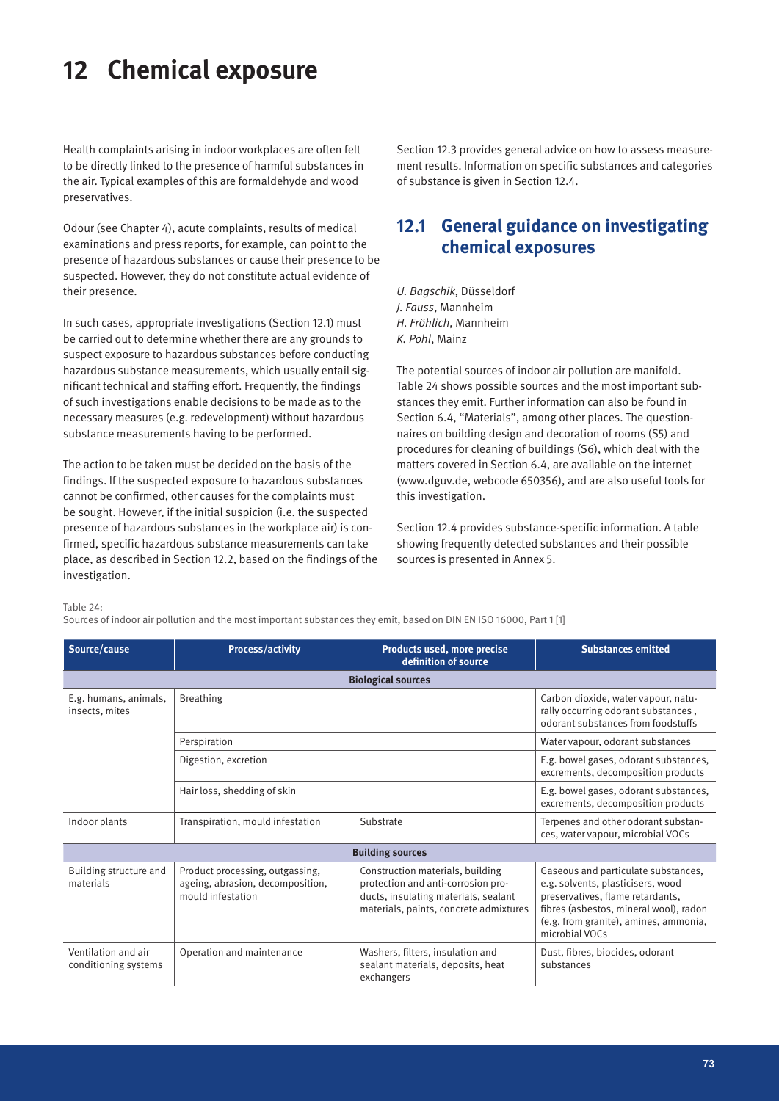Health complaints arising in indoor workplaces are often felt to be directly linked to the presence of harmful substances in the air. Typical examples of this are formaldehyde and wood preservatives.

Odour (see Chapter 4), acute complaints, results of medical examinations and press reports, for example, can point to the presence of hazardous substances or cause their presence to be suspected. However, they do not constitute actual evidence of their presence.

In such cases, appropriate investigations (Section 12.1) must be carried out to determine whether there are any grounds to suspect exposure to hazardous substances before conducting hazardous substance measurements, which usually entail significant technical and staffing effort. Frequently, the findings of such investigations enable decisions to be made as to the necessary measures (e.g. redevelopment) without hazardous substance measurements having to be performed.

The action to be taken must be decided on the basis of the findings. If the suspected exposure to hazardous substances cannot be confirmed, other causes for the complaints must be sought. However, if the initial suspicion (i.e. the suspected presence of hazardous substances in the workplace air) is confirmed, specific hazardous substance measurements can take place, as described in Section 12.2, based on the findings of the investigation.

Section 12.3 provides general advice on how to assess measurement results. Information on specific substances and categories of substance is given in Section 12.4.

# **12.1 General guidance on investigating chemical exposures**

*U. Bagschik*, Düsseldorf *J. Fauss*, Mannheim *H. Fröhlich*, Mannheim *K. Pohl*, Mainz

The potential sources of indoor air pollution are manifold. Table 24 shows possible sources and the most important substances they emit. Further information can also be found in Section 6.4, "Materials", among other places. The questionnaires on building design and decoration of rooms (S5) and procedures for cleaning of buildings (S6), which deal with the matters covered in Section 6.4, are available on the internet (www.dguv.de, webcode 650356), and are also useful tools for this investigation.

Section 12.4 provides substance-specific information. A table showing frequently detected substances and their possible sources is presented in Annex 5.

Table 24:

Sources of indoor air pollution and the most important substances they emit, based on DIN EN ISO 16000, Part 1 [1]

| Source/cause                                | <b>Process/activity</b>                                                                  | Products used, more precise<br>definition of source                                                                                                      | <b>Substances emitted</b>                                                                                                                                                                                         |
|---------------------------------------------|------------------------------------------------------------------------------------------|----------------------------------------------------------------------------------------------------------------------------------------------------------|-------------------------------------------------------------------------------------------------------------------------------------------------------------------------------------------------------------------|
|                                             |                                                                                          | <b>Biological sources</b>                                                                                                                                |                                                                                                                                                                                                                   |
| E.g. humans, animals,<br>insects, mites     | <b>Breathing</b>                                                                         |                                                                                                                                                          | Carbon dioxide, water vapour, natu-<br>rally occurring odorant substances,<br>odorant substances from foodstuffs                                                                                                  |
|                                             | Perspiration                                                                             |                                                                                                                                                          | Water vapour, odorant substances                                                                                                                                                                                  |
|                                             | Digestion, excretion                                                                     |                                                                                                                                                          | E.g. bowel gases, odorant substances,<br>excrements, decomposition products                                                                                                                                       |
|                                             | Hair loss, shedding of skin                                                              |                                                                                                                                                          | E.g. bowel gases, odorant substances,<br>excrements, decomposition products                                                                                                                                       |
| Indoor plants                               | Transpiration, mould infestation                                                         | Substrate                                                                                                                                                | Terpenes and other odorant substan-<br>ces, water vapour, microbial VOCs                                                                                                                                          |
|                                             |                                                                                          | <b>Building sources</b>                                                                                                                                  |                                                                                                                                                                                                                   |
| Building structure and<br>materials         | Product processing, outgassing,<br>ageing, abrasion, decomposition,<br>mould infestation | Construction materials, building<br>protection and anti-corrosion pro-<br>ducts, insulating materials, sealant<br>materials, paints, concrete admixtures | Gaseous and particulate substances,<br>e.g. solvents, plasticisers, wood<br>preservatives, flame retardants,<br>fibres (asbestos, mineral wool), radon<br>(e.g. from granite), amines, ammonia,<br>microbial VOCs |
| Ventilation and air<br>conditioning systems | Operation and maintenance                                                                | Washers, filters, insulation and<br>sealant materials, deposits, heat<br>exchangers                                                                      | Dust, fibres, biocides, odorant<br>substances                                                                                                                                                                     |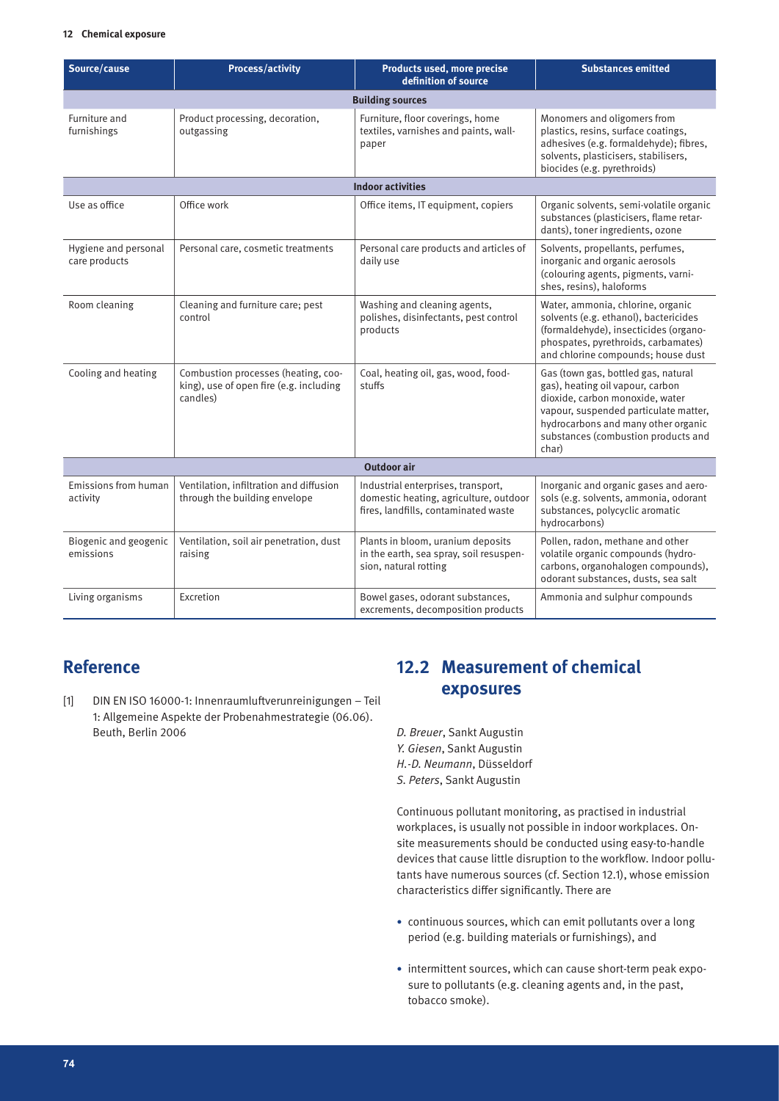| Source/cause                          | <b>Process/activity</b>                                                                    | Products used, more precise<br>definition of source                                                                  | <b>Substances emitted</b>                                                                                                                                                                                                                  |  |
|---------------------------------------|--------------------------------------------------------------------------------------------|----------------------------------------------------------------------------------------------------------------------|--------------------------------------------------------------------------------------------------------------------------------------------------------------------------------------------------------------------------------------------|--|
| <b>Building sources</b>               |                                                                                            |                                                                                                                      |                                                                                                                                                                                                                                            |  |
| Furniture and<br>furnishings          | Product processing, decoration,<br>outgassing                                              | Furniture, floor coverings, home<br>textiles, varnishes and paints, wall-<br>paper                                   | Monomers and oligomers from<br>plastics, resins, surface coatings,<br>adhesives (e.g. formaldehyde); fibres,<br>solvents, plasticisers, stabilisers,<br>biocides (e.g. pyrethroids)                                                        |  |
|                                       |                                                                                            | <b>Indoor activities</b>                                                                                             |                                                                                                                                                                                                                                            |  |
| Use as office                         | Office work                                                                                | Office items, IT equipment, copiers                                                                                  | Organic solvents, semi-volatile organic<br>substances (plasticisers, flame retar-<br>dants), toner ingredients, ozone                                                                                                                      |  |
| Hygiene and personal<br>care products | Personal care, cosmetic treatments                                                         | Personal care products and articles of<br>daily use                                                                  | Solvents, propellants, perfumes,<br>inorganic and organic aerosols<br>(colouring agents, pigments, varni-<br>shes, resins), haloforms                                                                                                      |  |
| Room cleaning                         | Cleaning and furniture care; pest<br>control                                               | Washing and cleaning agents,<br>polishes, disinfectants, pest control<br>products                                    | Water, ammonia, chlorine, organic<br>solvents (e.g. ethanol), bactericides<br>(formaldehyde), insecticides (organo-<br>phospates, pyrethroids, carbamates)<br>and chlorine compounds; house dust                                           |  |
| Cooling and heating                   | Combustion processes (heating, coo-<br>king), use of open fire (e.g. including<br>candles) | Coal, heating oil, gas, wood, food-<br>stuffs                                                                        | Gas (town gas, bottled gas, natural<br>gas), heating oil vapour, carbon<br>dioxide, carbon monoxide, water<br>vapour, suspended particulate matter,<br>hydrocarbons and many other organic<br>substances (combustion products and<br>char) |  |
| <b>Outdoor air</b>                    |                                                                                            |                                                                                                                      |                                                                                                                                                                                                                                            |  |
| Emissions from human<br>activity      | Ventilation, infiltration and diffusion<br>through the building envelope                   | Industrial enterprises, transport,<br>domestic heating, agriculture, outdoor<br>fires, landfills, contaminated waste | Inorganic and organic gases and aero-<br>sols (e.g. solvents, ammonia, odorant<br>substances, polycyclic aromatic<br>hydrocarbons)                                                                                                         |  |
| Biogenic and geogenic<br>emissions    | Ventilation, soil air penetration, dust<br>raising                                         | Plants in bloom, uranium deposits<br>in the earth, sea spray, soil resuspen-<br>sion, natural rotting                | Pollen, radon, methane and other<br>volatile organic compounds (hydro-<br>carbons, organohalogen compounds),<br>odorant substances, dusts, sea salt                                                                                        |  |
| Living organisms                      | Excretion                                                                                  | Bowel gases, odorant substances,<br>excrements, decomposition products                                               | Ammonia and sulphur compounds                                                                                                                                                                                                              |  |

# **Reference**

[1] DIN EN ISO 16000-1: Innenraumluftverunreinigungen – Teil 1: Allgemeine Aspekte der Probenahmestrategie (06.06). Beuth, Berlin 2006

# **12.2 Measurement of chemical exposures**

*D. Breuer*, Sankt Augustin *Y. Giesen*, Sankt Augustin *H.-D. Neumann*, Düsseldorf *S. Peters*, Sankt Augustin

Continuous pollutant monitoring, as practised in industrial workplaces, is usually not possible in indoor workplaces. Onsite measurements should be conducted using easy-to-handle devices that cause little disruption to the workflow. Indoor pollutants have numerous sources (cf. Section 12.1), whose emission characteristics differ significantly. There are

- continuous sources, which can emit pollutants over a long period (e.g. building materials or furnishings), and
- intermittent sources, which can cause short-term peak exposure to pollutants (e.g. cleaning agents and, in the past, tobacco smoke).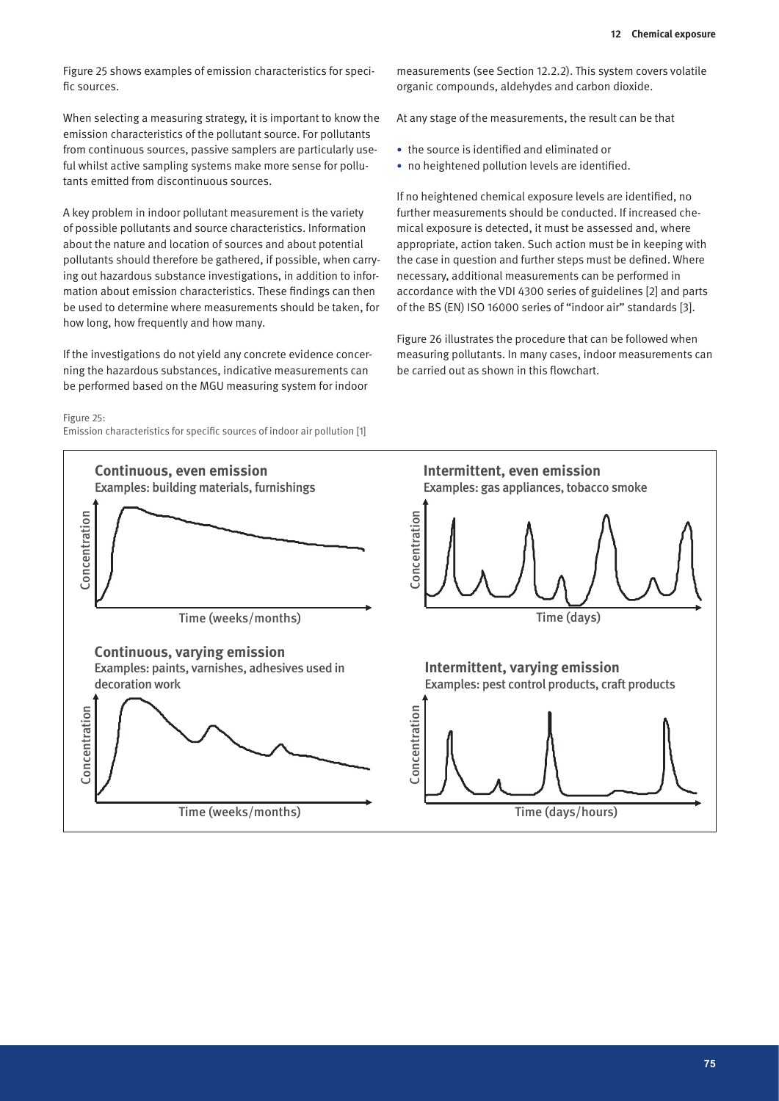Figure 25 shows examples of emission characteristics for specific sources.

When selecting a measuring strategy, it is important to know the emission characteristics of the pollutant source. For pollutants from continuous sources, passive samplers are particularly useful whilst active sampling systems make more sense for pollutants emitted from discontinuous sources.

A key problem in indoor pollutant measurement is the variety of possible pollutants and source characteristics. Information about the nature and location of sources and about potential pollutants should therefore be gathered, if possible, when carrying out hazardous substance investigations, in addition to information about emission characteristics. These findings can then be used to determine where measurements should be taken, for how long, how frequently and how many.

If the investigations do not yield any concrete evidence concerning the hazardous substances, indicative measurements can be performed based on the MGU measuring system for indoor

#### Figure 25:

Emission characteristics for specific sources of indoor air pollution [1]

measurements (see Section 12.2.2). This system covers volatile organic compounds, aldehydes and carbon dioxide.

At any stage of the measurements, the result can be that

- the source is identified and eliminated or
- no heightened pollution levels are identified.

If no heightened chemical exposure levels are identified, no further measurements should be conducted. If increased chemical exposure is detected, it must be assessed and, where appropriate, action taken. Such action must be in keeping with the case in question and further steps must be defined. Where necessary, additional measurements can be performed in accordance with the VDI 4300 series of guidelines [2] and parts of the BS (EN) ISO 16000 series of "indoor air" standards [3].

Figure 26 illustrates the procedure that can be followed when measuring pollutants. In many cases, indoor measurements can be carried out as shown in this flowchart.

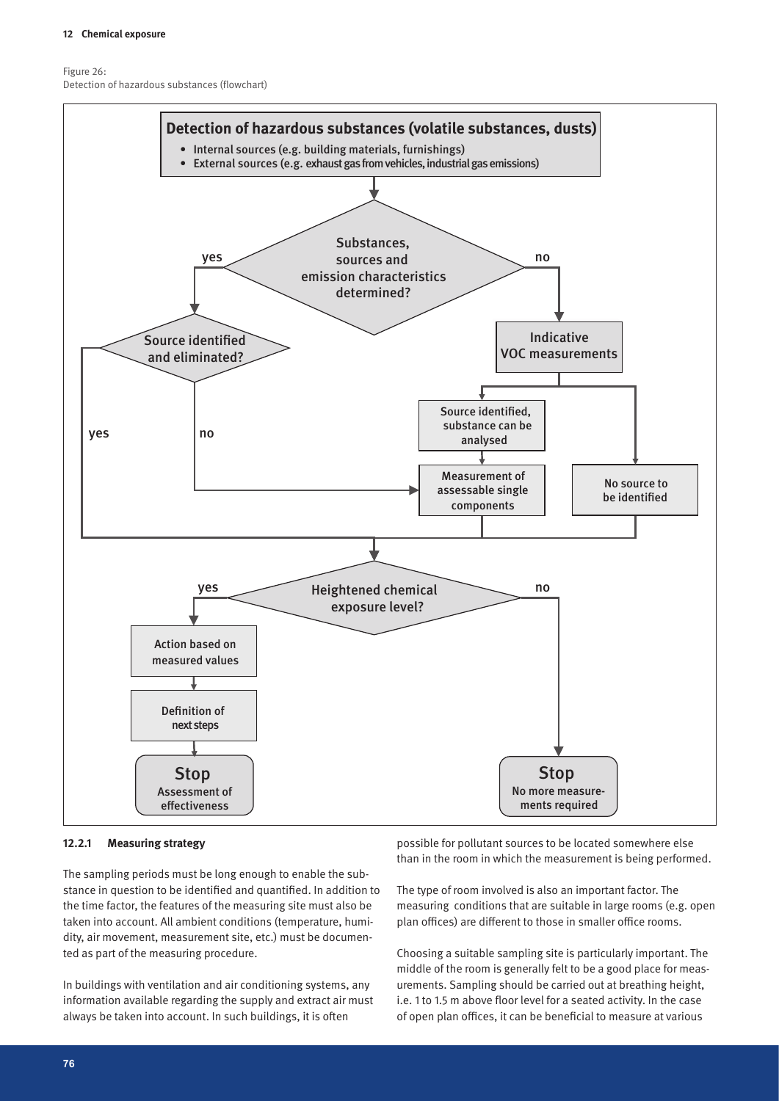Figure 26: Detection of hazardous substances (flowchart)



#### **12.2.1 Measuring strategy**

The sampling periods must be long enough to enable the substance in question to be identified and quantified. In addition to the time factor, the features of the measuring site must also be taken into account. All ambient conditions (temperature, humidity, air movement, measurement site, etc.) must be documented as part of the measuring procedure.

In buildings with ventilation and air conditioning systems, any information available regarding the supply and extract air must always be taken into account. In such buildings, it is often

possible for pollutant sources to be located somewhere else than in the room in which the measurement is being performed.

The type of room involved is also an important factor. The measuring conditions that are suitable in large rooms (e.g. open plan offices) are different to those in smaller office rooms.

Choosing a suitable sampling site is particularly important. The middle of the room is generally felt to be a good place for measurements. Sampling should be carried out at breathing height, i.e. 1 to 1.5 m above floor level for a seated activity. In the case of open plan offices, it can be beneficial to measure at various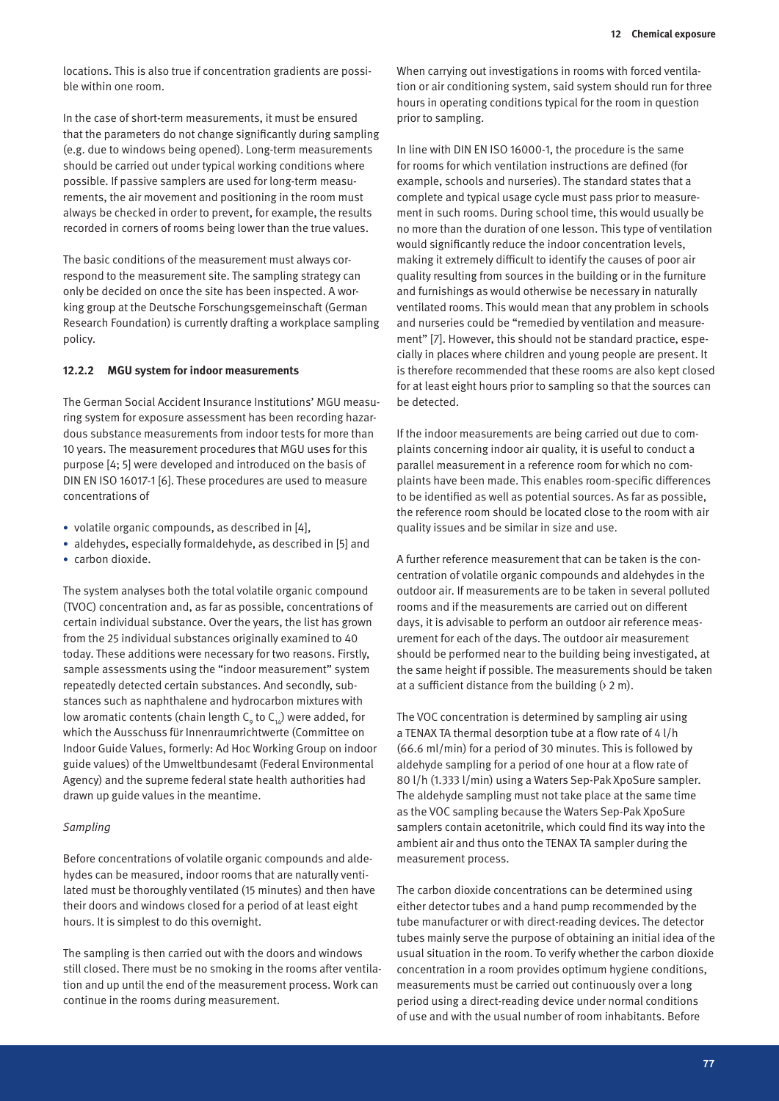locations. This is also true if concentration gradients are possible within one room.

In the case of short-term measurements, it must be ensured that the parameters do not change significantly during sampling (e.g. due to windows being opened). Long-term measurements should be carried out under typical working conditions where possible. If passive samplers are used for long-term measurements, the air movement and positioning in the room must always be checked in order to prevent, for example, the results recorded in corners of rooms being lower than the true values.

The basic conditions of the measurement must always correspond to the measurement site. The sampling strategy can only be decided on once the site has been inspected. A working group at the Deutsche Forschungsgemeinschaft (German Research Foundation) is currently drafting a workplace sampling policy.

#### **12.2.2 MGU system for indoor measurements**

The German Social Accident Insurance Institutions' MGU measuring system for exposure assessment has been recording hazardous substance measurements from indoor tests for more than 10 years. The measurement procedures that MGU uses for this purpose [4; 5] were developed and introduced on the basis of DIN EN ISO 16017-1 [6]. These procedures are used to measure concentrations of

- volatile organic compounds, as described in [4],
- aldehydes, especially formaldehyde, as described in [5] and
- carbon dioxide.

The system analyses both the total volatile organic compound (TVOC) concentration and, as far as possible, concentrations of certain individual substance. Over the years, the list has grown from the 25 individual substances originally examined to 40 today. These additions were necessary for two reasons. Firstly, sample assessments using the "indoor measurement" system repeatedly detected certain substances. And secondly, substances such as naphthalene and hydrocarbon mixtures with low aromatic contents (chain length  $\mathsf{C}_{_{\boldsymbol{9}}}$  to  $\mathsf{C}_{_{\boldsymbol{14}}})$  were added, for which the Ausschuss für Innenraumrichtwerte (Committee on Indoor Guide Values, formerly: Ad Hoc Working Group on indoor guide values) of the Umweltbundesamt (Federal Environmental Agency) and the supreme federal state health authorities had drawn up guide values in the meantime.

#### *Sampling*

Before concentrations of volatile organic compounds and aldehydes can be measured, indoor rooms that are naturally ventilated must be thoroughly ventilated (15 minutes) and then have their doors and windows closed for a period of at least eight hours. It is simplest to do this overnight.

The sampling is then carried out with the doors and windows still closed. There must be no smoking in the rooms after ventilation and up until the end of the measurement process. Work can continue in the rooms during measurement.

When carrying out investigations in rooms with forced ventilation or air conditioning system, said system should run for three hours in operating conditions typical for the room in question prior to sampling.

In line with DIN EN ISO 16000-1, the procedure is the same for rooms for which ventilation instructions are defined (for example, schools and nurseries). The standard states that a complete and typical usage cycle must pass prior to measurement in such rooms. During school time, this would usually be no more than the duration of one lesson. This type of ventilation would significantly reduce the indoor concentration levels, making it extremely difficult to identify the causes of poor air quality resulting from sources in the building or in the furniture and furnishings as would otherwise be necessary in naturally ventilated rooms. This would mean that any problem in schools and nurseries could be "remedied by ventilation and measurement" [7]. However, this should not be standard practice, especially in places where children and young people are present. It is therefore recommended that these rooms are also kept closed for at least eight hours prior to sampling so that the sources can be detected.

If the indoor measurements are being carried out due to complaints concerning indoor air quality, it is useful to conduct a parallel measurement in a reference room for which no complaints have been made. This enables room-specific differences to be identified as well as potential sources. As far as possible, the reference room should be located close to the room with air quality issues and be similar in size and use.

A further reference measurement that can be taken is the concentration of volatile organic compounds and aldehydes in the outdoor air. If measurements are to be taken in several polluted rooms and if the measurements are carried out on different days, it is advisable to perform an outdoor air reference measurement for each of the days. The outdoor air measurement should be performed near to the building being investigated, at the same height if possible. The measurements should be taken at a sufficient distance from the building  $(2 \text{ m})$ .

The VOC concentration is determined by sampling air using a TENAX TA thermal desorption tube at a flow rate of 4 l/h (66.6 ml/min) for a period of 30 minutes. This is followed by aldehyde sampling for a period of one hour at a flow rate of 80 l/h (1.333 l/min) using a Waters Sep-Pak XpoSure sampler. The aldehyde sampling must not take place at the same time as the VOC sampling because the Waters Sep-Pak XpoSure samplers contain acetonitrile, which could find its way into the ambient air and thus onto the TENAX TA sampler during the measurement process.

The carbon dioxide concentrations can be determined using either detector tubes and a hand pump recommended by the tube manufacturer or with direct-reading devices. The detector tubes mainly serve the purpose of obtaining an initial idea of the usual situation in the room. To verify whether the carbon dioxide concentration in a room provides optimum hygiene conditions, measurements must be carried out continuously over a long period using a direct-reading device under normal conditions of use and with the usual number of room inhabitants. Before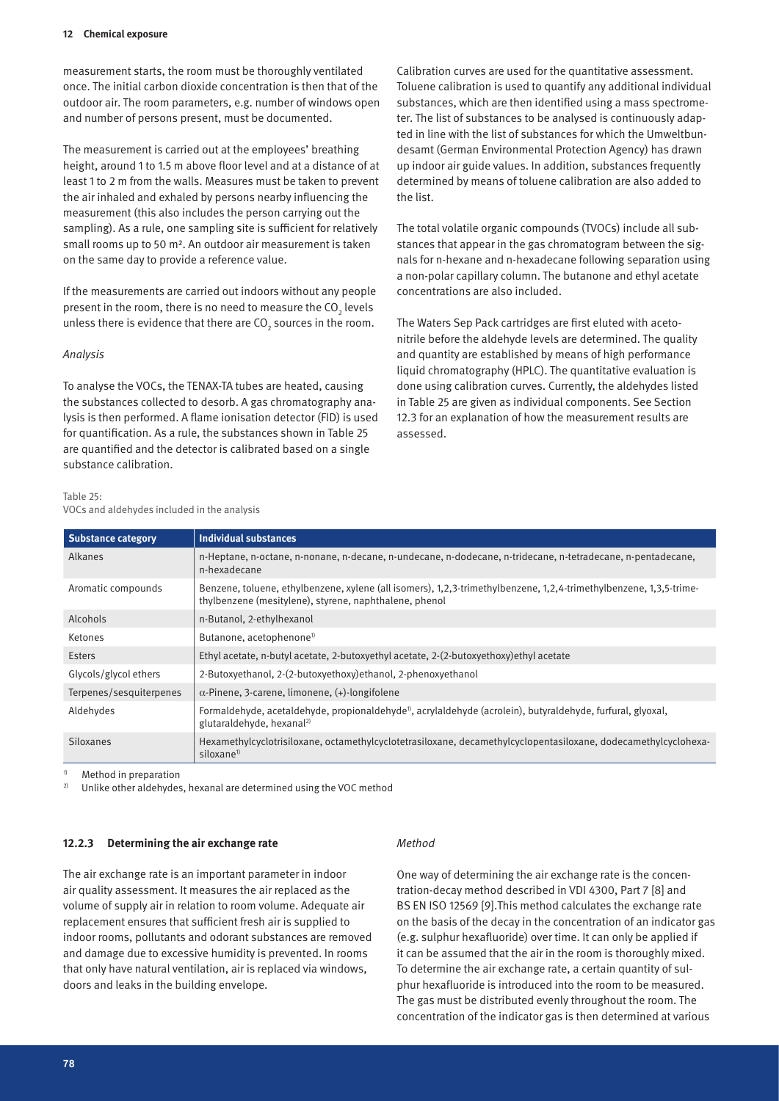measurement starts, the room must be thoroughly ventilated once. The initial carbon dioxide concentration is then that of the outdoor air. The room parameters, e.g. number of windows open and number of persons present, must be documented.

The measurement is carried out at the employees' breathing height, around 1 to 1.5 m above floor level and at a distance of at least 1 to 2 m from the walls. Measures must be taken to prevent the air inhaled and exhaled by persons nearby influencing the measurement (this also includes the person carrying out the sampling). As a rule, one sampling site is sufficient for relatively small rooms up to 50 m². An outdoor air measurement is taken on the same day to provide a reference value.

If the measurements are carried out indoors without any people present in the room, there is no need to measure the CO $_{_2}$  levels unless there is evidence that there are CO $_{\textrm{\tiny{2}}}$  sources in the room.

#### *Analysis*

To analyse the VOCs, the TENAX-TA tubes are heated, causing the substances collected to desorb. A gas chromatography analysis is then performed. A flame ionisation detector (FID) is used for quantification. As a rule, the substances shown in Table 25 are quantified and the detector is calibrated based on a single substance calibration.

Calibration curves are used for the quantitative assessment. Toluene calibration is used to quantify any additional individual substances, which are then identified using a mass spectrometer. The list of substances to be analysed is continuously adapted in line with the list of substances for which the Umweltbundesamt (German Environmental Protection Agency) has drawn up indoor air guide values. In addition, substances frequently determined by means of toluene calibration are also added to the list.

The total volatile organic compounds (TVOCs) include all substances that appear in the gas chromatogram between the signals for n-hexane and n-hexadecane following separation using a non-polar capillary column. The butanone and ethyl acetate concentrations are also included.

The Waters Sep Pack cartridges are first eluted with acetonitrile before the aldehyde levels are determined. The quality and quantity are established by means of high performance liquid chromatography (HPLC). The quantitative evaluation is done using calibration curves. Currently, the aldehydes listed in Table 25 are given as individual components. See Section 12.3 for an explanation of how the measurement results are assessed.

#### Table 25:

VOCs and aldehydes included in the analysis

| <b>Substance category</b> | <b>Individual substances</b>                                                                                                                                                 |
|---------------------------|------------------------------------------------------------------------------------------------------------------------------------------------------------------------------|
| Alkanes                   | n-Heptane, n-octane, n-nonane, n-decane, n-undecane, n-dodecane, n-tridecane, n-tetradecane, n-pentadecane,<br>n-hexadecane                                                  |
| Aromatic compounds        | Benzene, toluene, ethylbenzene, xylene (all isomers), 1,2,3-trimethylbenzene, 1,2,4-trimethylbenzene, 1,3,5-trime-<br>thylbenzene (mesitylene), styrene, naphthalene, phenol |
| Alcohols                  | n-Butanol, 2-ethylhexanol                                                                                                                                                    |
| Ketones                   | Butanone, acetophenone <sup>1)</sup>                                                                                                                                         |
| Esters                    | Ethyl acetate, n-butyl acetate, 2-butoxyethyl acetate, 2-(2-butoxyethoxy)ethyl acetate                                                                                       |
| Glycols/glycol ethers     | 2-Butoxyethanol, 2-(2-butoxyethoxy)ethanol, 2-phenoxyethanol                                                                                                                 |
| Terpenes/sesquiterpenes   | $\alpha$ -Pinene, 3-carene, limonene, $(+)$ -longifolene                                                                                                                     |
| Aldehydes                 | Formaldehyde, acetaldehyde, propionaldehyde <sup>0</sup> , acrylaldehyde (acrolein), butyraldehyde, furfural, glyoxal,<br>glutaraldehyde, hexanal <sup>2)</sup>              |
| Siloxanes                 | Hexamethylcyclotrisiloxane, octamethylcyclotetrasiloxane, decamethylcyclopentasiloxane, dodecamethylcyclohexa-<br>siloxane <sup>1)</sup>                                     |

Method in preparation

2) Unlike other aldehydes, hexanal are determined using the VOC method

#### **12.2.3 Determining the air exchange rate**

The air exchange rate is an important parameter in indoor air quality assessment. It measures the air replaced as the volume of supply air in relation to room volume. Adequate air replacement ensures that sufficient fresh air is supplied to indoor rooms, pollutants and odorant substances are removed and damage due to excessive humidity is prevented. In rooms that only have natural ventilation, air is replaced via windows, doors and leaks in the building envelope.

#### *Method*

One way of determining the air exchange rate is the concentration-decay method described in VDI 4300, Part 7 [8] and BS EN ISO 12569 [9].This method calculates the exchange rate on the basis of the decay in the concentration of an indicator gas (e.g. sulphur hexafluoride) over time. It can only be applied if it can be assumed that the air in the room is thoroughly mixed. To determine the air exchange rate, a certain quantity of sulphur hexafluoride is introduced into the room to be measured. The gas must be distributed evenly throughout the room. The concentration of the indicator gas is then determined at various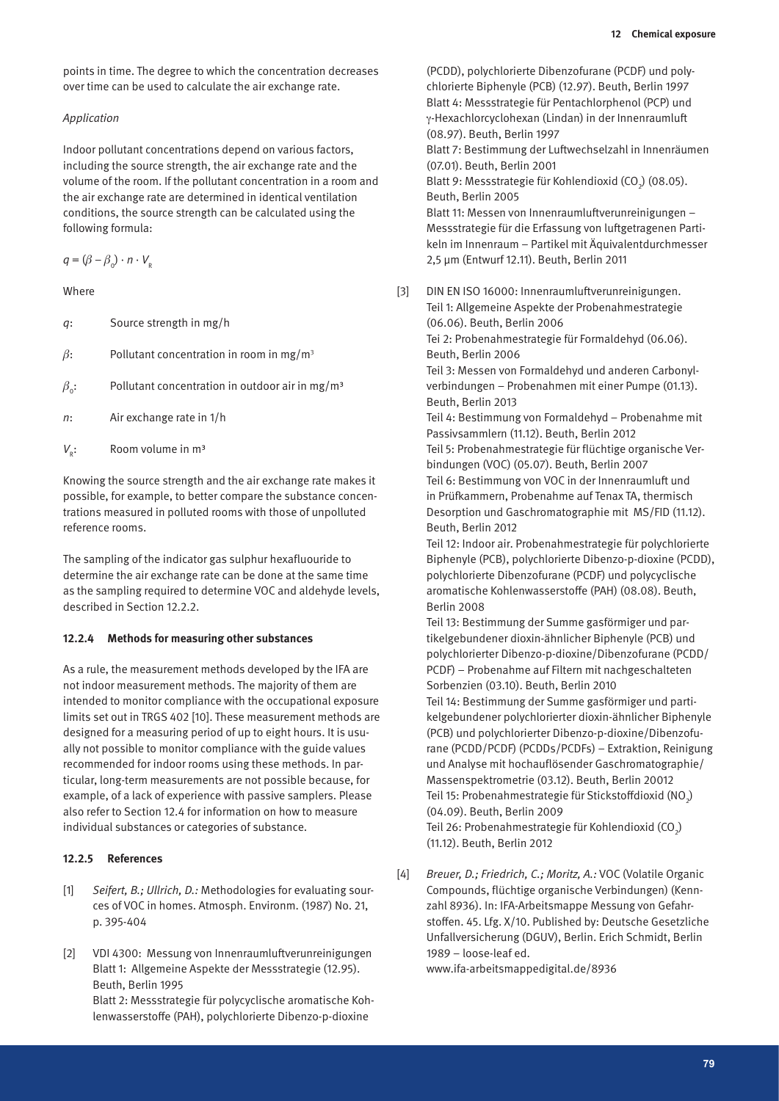points in time. The degree to which the concentration decreases over time can be used to calculate the air exchange rate.

#### *Application*

Indoor pollutant concentrations depend on various factors, including the source strength, the air exchange rate and the volume of the room. If the pollutant concentration in a room and the air exchange rate are determined in identical ventilation conditions, the source strength can be calculated using the following formula:

 $q = (\beta - \beta_0) \cdot n \cdot V_{\rm e}$ 

Where

| Source strength in mg/h<br>q: |  |  |
|-------------------------------|--|--|
|-------------------------------|--|--|

- *β*: Pollutant concentration in room in mg/m3
- $\beta_0$ : Pollutant concentration in outdoor air in mg/m<sup>3</sup>
- *n*: Air exchange rate in 1/h
- $V_{R}$ : Room volume in m<sup>3</sup>

Knowing the source strength and the air exchange rate makes it possible, for example, to better compare the substance concentrations measured in polluted rooms with those of unpolluted reference rooms.

The sampling of the indicator gas sulphur hexafluouride to determine the air exchange rate can be done at the same time as the sampling required to determine VOC and aldehyde levels, described in Section 12.2.2.

#### **12.2.4 Methods for measuring other substances**

As a rule, the measurement methods developed by the IFA are not indoor measurement methods. The majority of them are intended to monitor compliance with the occupational exposure limits set out in TRGS 402 [10]. These measurement methods are designed for a measuring period of up to eight hours. It is usually not possible to monitor compliance with the guide values recommended for indoor rooms using these methods. In particular, long-term measurements are not possible because, for example, of a lack of experience with passive samplers. Please also refer to Section 12.4 for information on how to measure individual substances or categories of substance.

#### **12.2.5 References**

- [1] *Seifert, B.; Ullrich, D.:* Methodologies for evaluating sources of VOC in homes. Atmosph. Environm. (1987) No. 21, p. 395-404
- [2] VDI 4300: Messung von Innenraumluftverunreinigungen Blatt 1: Allgemeine Aspekte der Messstrategie (12.95). Beuth, Berlin 1995 Blatt 2: Messstrategie für polycyclische aromatische Kohlenwasserstoffe (PAH), polychlorierte Dibenzo-p-dioxine

(PCDD), polychlorierte Dibenzofurane (PCDF) und polychlorierte Biphenyle (PCB) (12.97). Beuth, Berlin 1997 Blatt 4: Messstrategie für Pentachlorphenol (PCP) und g-Hexachlorcyclohexan (Lindan) in der Innenraumluft (08.97). Beuth, Berlin 1997 Blatt 7: Bestimmung der Luftwechselzahl in Innenräumen (07.01). Beuth, Berlin 2001 Blatt 9: Messstrategie für Kohlendioxid (CO<sub>2</sub>) (08.05). Beuth, Berlin 2005 Blatt 11: Messen von Innenraumluftverunreinigungen – Messstrategie für die Erfassung von luftgetragenen Partikeln im Innenraum – Partikel mit Äquivalentdurchmesser 2,5 µm (Entwurf 12.11). Beuth, Berlin 2011

[3] DIN EN ISO 16000: Innenraumluftverunreinigungen. Teil 1: Allgemeine Aspekte der Probenahmestrategie (06.06). Beuth, Berlin 2006 Tei 2: Probenahmestrategie für Formaldehyd (06.06).

Beuth, Berlin 2006 Teil 3: Messen von Formaldehyd und anderen Carbonyl-

verbindungen – Probenahmen mit einer Pumpe (01.13). Beuth, Berlin 2013

Teil 4: Bestimmung von Formaldehyd – Probenahme mit Passivsammlern (11.12). Beuth, Berlin 2012

Teil 5: Probenahmestrategie für flüchtige organische Verbindungen (VOC) (05.07). Beuth, Berlin 2007 Teil 6: Bestimmung von VOC in der Innenraumluft und

in Prüfkammern, Probenahme auf Tenax TA, thermisch Desorption und Gaschromatographie mit MS/FID (11.12). Beuth, Berlin 2012

Teil 12: Indoor air. Probenahmestrategie für polychlorierte Biphenyle (PCB), polychlorierte Dibenzo-p-dioxine (PCDD), polychlorierte Dibenzofurane (PCDF) und polycyclische aromatische Kohlenwasserstoffe (PAH) (08.08). Beuth, Berlin 2008

Teil 13: Bestimmung der Summe gasförmiger und partikelgebundener dioxin-ähnlicher Biphenyle (PCB) und polychlorierter Dibenzo-p-dioxine/Dibenzofurane (PCDD/ PCDF) – Probenahme auf Filtern mit nachgeschalteten Sorbenzien (03.10). Beuth, Berlin 2010

Teil 14: Bestimmung der Summe gasförmiger und partikelgebundener polychlorierter dioxin-ähnlicher Biphenyle (PCB) und polychlorierter Dibenzo-p-dioxine/Dibenzofurane (PCDD/PCDF) (PCDDs/PCDFs) – Extraktion, Reinigung und Analyse mit hochauflösender Gaschromatographie/ Massenspektrometrie (03.12). Beuth, Berlin 20012 Teil 15: Probenahmestrategie für Stickstoffdioxid (NO $_{\rm 2}$ ) (04.09). Beuth, Berlin 2009 Teil 26: Probenahmestrategie für Kohlendioxid (CO $_{2}$ )

(11.12). Beuth, Berlin 2012

[4] *Breuer, D.; Friedrich, C.; Moritz, A.:* VOC (Volatile Organic Compounds, flüchtige organische Verbindungen) (Kennzahl 8936). In: IFA-Arbeitsmappe Messung von Gefahrstoffen. 45. Lfg. X/10. Published by: Deutsche Gesetzliche Unfallversicherung (DGUV), Berlin. Erich Schmidt, Berlin 1989 – loose-leaf ed.

www.ifa-arbeitsmappedigital.de/8936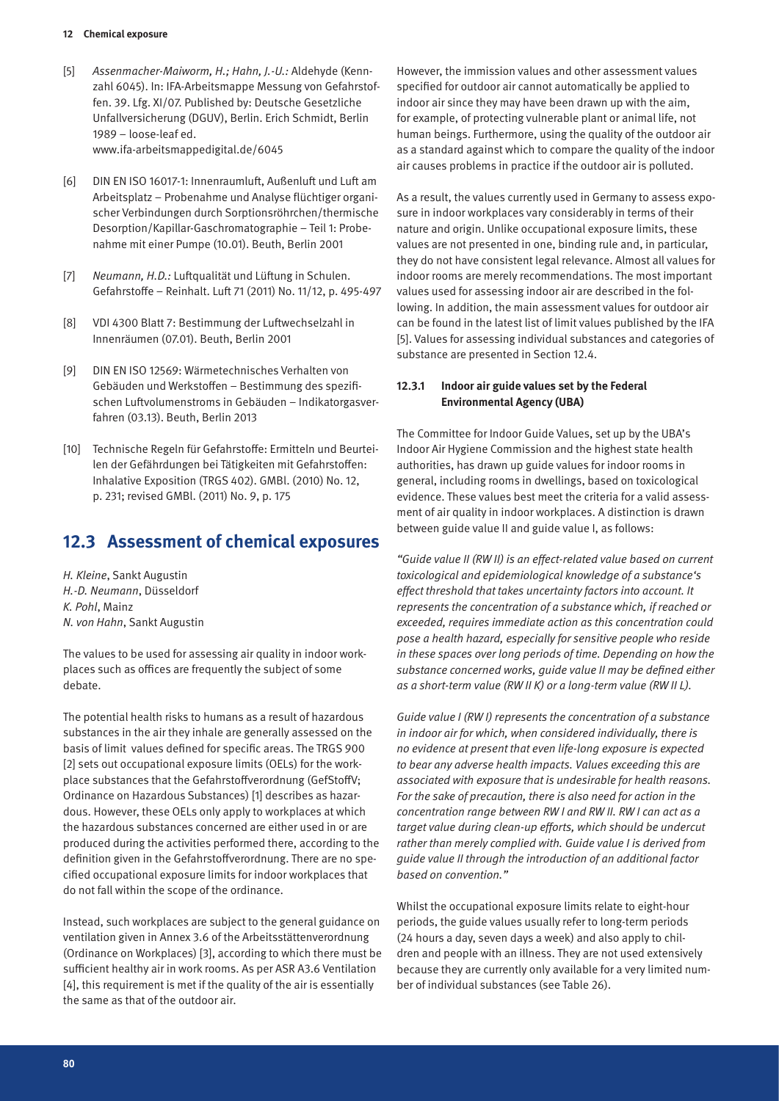- [5] *Assenmacher-Maiworm, H.; Hahn, J.-U.:* Aldehyde (Kennzahl 6045). In: IFA-Arbeitsmappe Messung von Gefahrstoffen. 39. Lfg. XI/07. Published by: Deutsche Gesetzliche Unfallversicherung (DGUV), Berlin. Erich Schmidt, Berlin 1989 – loose-leaf ed. www.ifa-arbeitsmappedigital.de/6045
- [6] DIN EN ISO 16017-1: Innenraumluft, Außenluft und Luft am Arbeitsplatz – Probenahme und Analyse flüchtiger organischer Verbindungen durch Sorptionsröhrchen/thermische Desorption/Kapillar-Gaschromatographie – Teil 1: Probenahme mit einer Pumpe (10.01). Beuth, Berlin 2001
- [7] *Neumann, H.D.:* Luftqualität und Lüftung in Schulen. Gefahrstoffe – Reinhalt. Luft 71 (2011) No. 11/12, p. 495-497
- [8] VDI 4300 Blatt 7: Bestimmung der Luftwechselzahl in Innenräumen (07.01). Beuth, Berlin 2001
- [9] DIN EN ISO 12569: Wärmetechnisches Verhalten von Gebäuden und Werkstoffen – Bestimmung des spezifischen Luftvolumenstroms in Gebäuden – Indikatorgasverfahren (03.13). Beuth, Berlin 2013
- [10] Technische Regeln für Gefahrstoffe: Ermitteln und Beurteilen der Gefährdungen bei Tätigkeiten mit Gefahrstoffen: Inhalative Exposition (TRGS 402). GMBl. (2010) No. 12, p. 231; revised GMBl. (2011) No. 9, p. 175

# **12.3 Assessment of chemical exposures**

*H. Kleine*, Sankt Augustin *H.-D. Neumann*, Düsseldorf *K. Pohl*, Mainz *N. von Hahn*, Sankt Augustin

The values to be used for assessing air quality in indoor workplaces such as offices are frequently the subject of some debate.

The potential health risks to humans as a result of hazardous substances in the air they inhale are generally assessed on the basis of limit values defined for specific areas. The TRGS 900 [2] sets out occupational exposure limits (OELs) for the workplace substances that the Gefahrstoffverordnung (GefStoffV; Ordinance on Hazardous Substances) [1] describes as hazardous. However, these OELs only apply to workplaces at which the hazardous substances concerned are either used in or are produced during the activities performed there, according to the definition given in the Gefahrstoffverordnung. There are no specified occupational exposure limits for indoor workplaces that do not fall within the scope of the ordinance.

Instead, such workplaces are subject to the general guidance on ventilation given in Annex 3.6 of the Arbeitsstättenverordnung (Ordinance on Workplaces) [3], according to which there must be sufficient healthy air in work rooms. As per ASR A3.6 Ventilation [4], this requirement is met if the quality of the air is essentially the same as that of the outdoor air.

However, the immission values and other assessment values specified for outdoor air cannot automatically be applied to indoor air since they may have been drawn up with the aim, for example, of protecting vulnerable plant or animal life, not human beings. Furthermore, using the quality of the outdoor air as a standard against which to compare the quality of the indoor air causes problems in practice if the outdoor air is polluted.

As a result, the values currently used in Germany to assess exposure in indoor workplaces vary considerably in terms of their nature and origin. Unlike occupational exposure limits, these values are not presented in one, binding rule and, in particular, they do not have consistent legal relevance. Almost all values for indoor rooms are merely recommendations. The most important values used for assessing indoor air are described in the following. In addition, the main assessment values for outdoor air can be found in the latest list of limit values published by the IFA [5]. Values for assessing individual substances and categories of substance are presented in Section 12.4.

### **12.3.1 Indoor air guide values set by the Federal Environmental Agency (UBA)**

The Committee for Indoor Guide Values, set up by the UBA's Indoor Air Hygiene Commission and the highest state health authorities, has drawn up guide values for indoor rooms in general, including rooms in dwellings, based on toxicological evidence. These values best meet the criteria for a valid assessment of air quality in indoor workplaces. A distinction is drawn between guide value II and guide value I, as follows:

*"Guide value II (RW II) is an effect-related value based on current toxicological and epidemiological knowledge of a substance's effect threshold that takes uncertainty factors into account. It represents the concentration of a substance which, if reached or exceeded, requires immediate action as this concentration could pose a health hazard, especially for sensitive people who reside in these spaces over long periods of time. Depending on how the substance concerned works, guide value II may be defined either as a short-term value (RW II K) or a long-term value (RW II L).*

*Guide value I (RW I) represents the concentration of a substance in indoor air for which, when considered individually, there is no evidence at present that even life-long exposure is expected to bear any adverse health impacts. Values exceeding this are associated with exposure that is undesirable for health reasons. For the sake of precaution, there is also need for action in the concentration range between RW I and RW II. RW I can act as a target value during clean-up efforts, which should be undercut rather than merely complied with. Guide value I is derived from guide value II through the introduction of an additional factor based on convention."*

Whilst the occupational exposure limits relate to eight-hour periods, the guide values usually refer to long-term periods (24 hours a day, seven days a week) and also apply to children and people with an illness. They are not used extensively because they are currently only available for a very limited number of individual substances (see Table 26).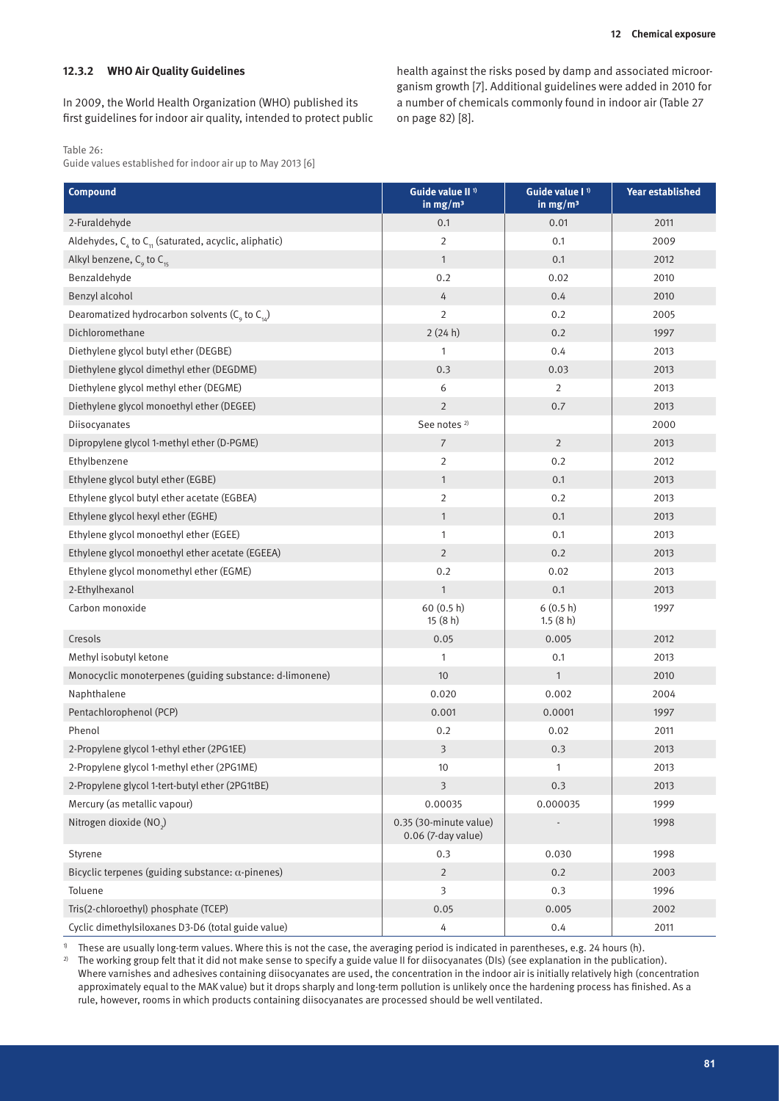#### **12.3.2 WHO Air Quality Guidelines**

In 2009, the World Health Organization (WHO) published its first guidelines for indoor air quality, intended to protect public

Table 26:

Guide values established for indoor air up to May 2013 [6]

health against the risks posed by damp and associated microorganism growth [7]. Additional guidelines were added in 2010 for a number of chemicals commonly found in indoor air (Table 27 on page 82) [8].

| <b>Compound</b>                                                       | Guide value II <sup>1</sup><br>in $mg/m3$    | Guide value I <sup>1</sup><br>in $mg/m3$ | <b>Year established</b> |
|-----------------------------------------------------------------------|----------------------------------------------|------------------------------------------|-------------------------|
| 2-Furaldehyde                                                         | 0.1                                          | 0.01                                     | 2011                    |
| Aldehydes, $C_{\alpha}$ to $C_{\eta}$ (saturated, acyclic, aliphatic) | $\overline{2}$                               | 0.1                                      | 2009                    |
| Alkyl benzene, $C_{9}$ to $C_{15}$                                    | $\mathbf{1}$                                 | 0.1                                      | 2012                    |
| Benzaldehyde                                                          | 0.2                                          | 0.02                                     | 2010                    |
| Benzyl alcohol                                                        | 4                                            | 0.4                                      | 2010                    |
| Dearomatized hydrocarbon solvents ( $C_q$ to $C_{14}$ )               | $\overline{2}$                               | 0.2                                      | 2005                    |
| Dichloromethane                                                       | 2(24 h)                                      | 0.2                                      | 1997                    |
| Diethylene glycol butyl ether (DEGBE)                                 | 1                                            | 0.4                                      | 2013                    |
| Diethylene glycol dimethyl ether (DEGDME)                             | 0.3                                          | 0.03                                     | 2013                    |
| Diethylene glycol methyl ether (DEGME)                                | 6                                            | 2                                        | 2013                    |
| Diethylene glycol monoethyl ether (DEGEE)                             | $\overline{2}$                               | 0.7                                      | 2013                    |
| Diisocyanates                                                         | See notes <sup>2)</sup>                      |                                          | 2000                    |
| Dipropylene glycol 1-methyl ether (D-PGME)                            | $\overline{7}$                               | $\overline{2}$                           | 2013                    |
| Ethylbenzene                                                          | $\overline{2}$                               | 0.2                                      | 2012                    |
| Ethylene glycol butyl ether (EGBE)                                    | $\mathbf{1}$                                 | 0.1                                      | 2013                    |
| Ethylene glycol butyl ether acetate (EGBEA)                           | $\overline{2}$                               | 0.2                                      | 2013                    |
| Ethylene glycol hexyl ether (EGHE)                                    | $\mathbf{1}$                                 | 0.1                                      | 2013                    |
| Ethylene glycol monoethyl ether (EGEE)                                | 1                                            | 0.1                                      | 2013                    |
| Ethylene glycol monoethyl ether acetate (EGEEA)                       | $\overline{2}$                               | 0.2                                      | 2013                    |
| Ethylene glycol monomethyl ether (EGME)                               | 0.2                                          | 0.02                                     | 2013                    |
| 2-Ethylhexanol                                                        | $\mathbf{1}$                                 | 0.1                                      | 2013                    |
| Carbon monoxide                                                       | 60 (0.5 h)<br>15(8h)                         | 6(0.5 h)<br>1.5(8 h)                     | 1997                    |
| Cresols                                                               | 0.05                                         | 0.005                                    | 2012                    |
| Methyl isobutyl ketone                                                | 1                                            | 0.1                                      | 2013                    |
| Monocyclic monoterpenes (guiding substance: d-limonene)               | 10                                           | $\mathbf{1}$                             | 2010                    |
| Naphthalene                                                           | 0.020                                        | 0.002                                    | 2004                    |
| Pentachlorophenol (PCP)                                               | 0.001                                        | 0.0001                                   | 1997                    |
| Phenol                                                                | 0.2                                          | 0.02                                     | 2011                    |
| 2-Propylene glycol 1-ethyl ether (2PG1EE)                             | 3                                            | 0.3                                      | 2013                    |
| 2-Propylene glycol 1-methyl ether (2PG1ME)                            | 10                                           | $\mathbf{1}$                             | 2013                    |
| 2-Propylene glycol 1-tert-butyl ether (2PG1tBE)                       | $\overline{3}$                               | 0.3                                      | 2013                    |
| Mercury (as metallic vapour)                                          | 0.00035                                      | 0.000035                                 | 1999                    |
| Nitrogen dioxide (NO2)                                                | 0.35 (30-minute value)<br>0.06 (7-day value) |                                          | 1998                    |
| Styrene                                                               | 0.3                                          | 0.030                                    | 1998                    |
| Bicyclic terpenes (guiding substance: $\alpha$ -pinenes)              | $\overline{2}$                               | 0.2                                      | 2003                    |
| Toluene                                                               | 3                                            | 0.3                                      | 1996                    |
| Tris(2-chloroethyl) phosphate (TCEP)                                  | 0.05                                         | 0.005                                    | 2002                    |
| Cyclic dimethylsiloxanes D3-D6 (total guide value)                    | 4                                            | 0.4                                      | 2011                    |

1) These are usually long-term values. Where this is not the case, the averaging period is indicated in parentheses, e.g. 24 hours (h).

<sup>2)</sup> The working group felt that it did not make sense to specify a guide value II for diisocyanates (DIs) (see explanation in the publication). Where varnishes and adhesives containing diisocyanates are used, the concentration in the indoor air is initially relatively high (concentration approximately equal to the MAK value) but it drops sharply and long-term pollution is unlikely once the hardening process has finished. As a rule, however, rooms in which products containing diisocyanates are processed should be well ventilated.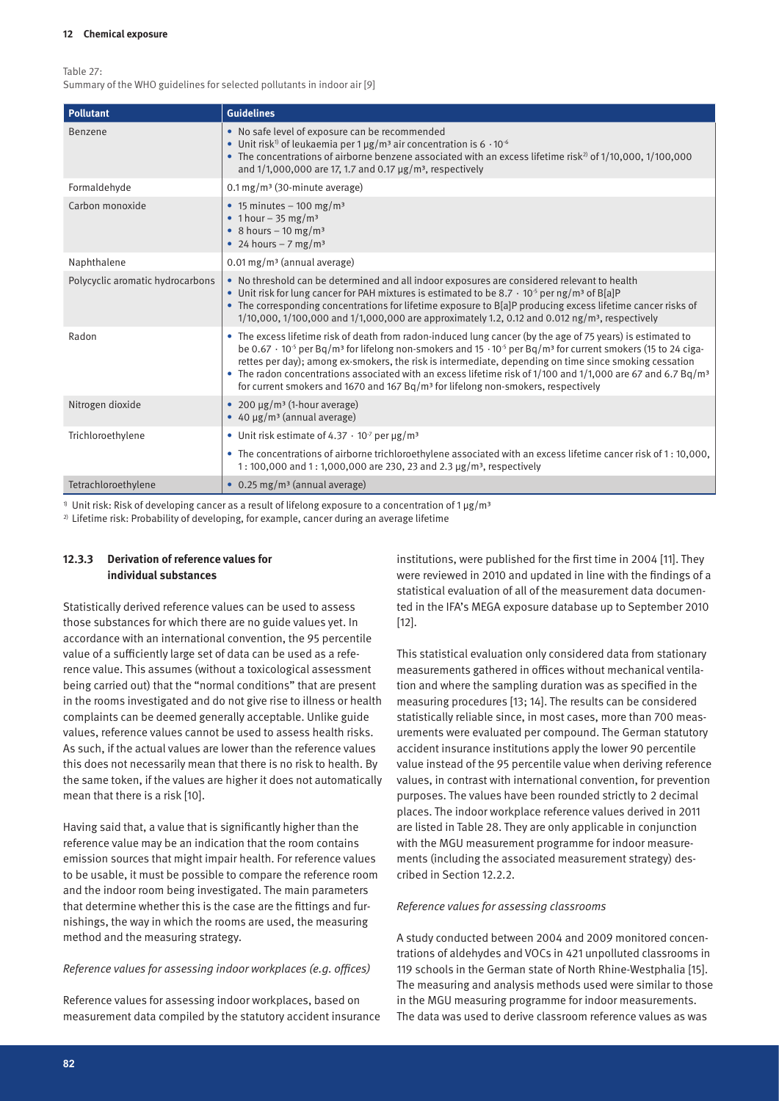Table 27:

Summary of the WHO guidelines for selected pollutants in indoor air [9]

| <b>Pollutant</b>                 | <b>Guidelines</b>                                                                                                                                                                                                                                                                                                                                                                                                                                                                                                                                                                                         |
|----------------------------------|-----------------------------------------------------------------------------------------------------------------------------------------------------------------------------------------------------------------------------------------------------------------------------------------------------------------------------------------------------------------------------------------------------------------------------------------------------------------------------------------------------------------------------------------------------------------------------------------------------------|
| Benzene                          | • No safe level of exposure can be recommended<br>• Unit risk <sup>1</sup> of leukaemia per 1 $\mu$ g/m <sup>3</sup> air concentration is 6 · 10 <sup>-6</sup><br>• The concentrations of airborne benzene associated with an excess lifetime risk <sup>2</sup> of $1/10,000,1/100,000$<br>and $1/1,000,000$ are 17, 1.7 and 0.17 $\mu$ g/m <sup>3</sup> , respectively                                                                                                                                                                                                                                   |
| Formaldehyde                     | $0.1 \,\mathrm{mg/m}$ (30-minute average)                                                                                                                                                                                                                                                                                                                                                                                                                                                                                                                                                                 |
| Carbon monoxide                  | • 15 minutes – 100 mg/m <sup>3</sup><br>• 1 hour $-35$ mg/m <sup>3</sup><br>• 8 hours $-10$ mg/m <sup>3</sup><br>• 24 hours $-7$ mg/m <sup>3</sup>                                                                                                                                                                                                                                                                                                                                                                                                                                                        |
| Naphthalene                      | $0.01 \,\mathrm{mg/m}$ (annual average)                                                                                                                                                                                                                                                                                                                                                                                                                                                                                                                                                                   |
| Polycyclic aromatic hydrocarbons | . No threshold can be determined and all indoor exposures are considered relevant to health<br>• Unit risk for lung cancer for PAH mixtures is estimated to be 8.7 $\cdot$ 10 <sup>-5</sup> per ng/m <sup>3</sup> of B[a]P<br>• The corresponding concentrations for lifetime exposure to B[a]P producing excess lifetime cancer risks of<br>1/10,000, 1/100,000 and 1/1,000,000 are approximately 1.2, 0.12 and 0.012 ng/m <sup>3</sup> , respectively                                                                                                                                                   |
| Radon                            | • The excess lifetime risk of death from radon-induced lung cancer (by the age of 75 years) is estimated to<br>be 0.67 · 10 <sup>-5</sup> per Bq/m <sup>3</sup> for lifelong non-smokers and 15 · 10 <sup>-5</sup> per Bq/m <sup>3</sup> for current smokers (15 to 24 ciga-<br>rettes per day); among ex-smokers, the risk is intermediate, depending on time since smoking cessation<br>• The radon concentrations associated with an excess lifetime risk of 1/100 and 1/1,000 are 67 and 6.7 Bg/m <sup>3</sup><br>for current smokers and 1670 and 167 $Bq/m3$ for lifelong non-smokers, respectively |
| Nitrogen dioxide                 | • 200 $\mu$ g/m <sup>3</sup> (1-hour average)<br>• 40 $\mu$ g/m <sup>3</sup> (annual average)                                                                                                                                                                                                                                                                                                                                                                                                                                                                                                             |
| Trichloroethylene                | • Unit risk estimate of $4.37 \cdot 10^7$ per $\mu$ g/m <sup>3</sup>                                                                                                                                                                                                                                                                                                                                                                                                                                                                                                                                      |
|                                  | • The concentrations of airborne trichloroethylene associated with an excess lifetime cancer risk of 1:10,000,<br>1:100,000 and 1:1,000,000 are 230, 23 and 2.3 $\mu$ g/m <sup>3</sup> , respectively                                                                                                                                                                                                                                                                                                                                                                                                     |
| Tetrachloroethylene              | $\bullet$ 0.25 mg/m <sup>3</sup> (annual average)                                                                                                                                                                                                                                                                                                                                                                                                                                                                                                                                                         |

Unit risk: Risk of developing cancer as a result of lifelong exposure to a concentration of 1  $\mu$ g/m<sup>3</sup>

<sup>2)</sup> Lifetime risk: Probability of developing, for example, cancer during an average lifetime

#### **12.3.3 Derivation of reference values for individual substances**

Statistically derived reference values can be used to assess those substances for which there are no guide values yet. In accordance with an international convention, the 95 percentile value of a sufficiently large set of data can be used as a reference value. This assumes (without a toxicological assessment being carried out) that the "normal conditions" that are present in the rooms investigated and do not give rise to illness or health complaints can be deemed generally acceptable. Unlike guide values, reference values cannot be used to assess health risks. As such, if the actual values are lower than the reference values this does not necessarily mean that there is no risk to health. By the same token, if the values are higher it does not automatically mean that there is a risk [10].

Having said that, a value that is significantly higher than the reference value may be an indication that the room contains emission sources that might impair health. For reference values to be usable, it must be possible to compare the reference room and the indoor room being investigated. The main parameters that determine whether this is the case are the fittings and furnishings, the way in which the rooms are used, the measuring method and the measuring strategy.

#### *Reference values for assessing indoor workplaces (e.g. offices)*

Reference values for assessing indoor workplaces, based on measurement data compiled by the statutory accident insurance institutions, were published for the first time in 2004 [11]. They were reviewed in 2010 and updated in line with the findings of a statistical evaluation of all of the measurement data documented in the IFA's MEGA exposure database up to September 2010 [12].

This statistical evaluation only considered data from stationary measurements gathered in offices without mechanical ventilation and where the sampling duration was as specified in the measuring procedures [13; 14]. The results can be considered statistically reliable since, in most cases, more than 700 measurements were evaluated per compound. The German statutory accident insurance institutions apply the lower 90 percentile value instead of the 95 percentile value when deriving reference values, in contrast with international convention, for prevention purposes. The values have been rounded strictly to 2 decimal places. The indoor workplace reference values derived in 2011 are listed in Table 28. They are only applicable in conjunction with the MGU measurement programme for indoor measurements (including the associated measurement strategy) described in Section 12.2.2.

#### *Reference values for assessing classrooms*

A study conducted between 2004 and 2009 monitored concentrations of aldehydes and VOCs in 421 unpolluted classrooms in 119 schools in the German state of North Rhine-Westphalia [15]. The measuring and analysis methods used were similar to those in the MGU measuring programme for indoor measurements. The data was used to derive classroom reference values as was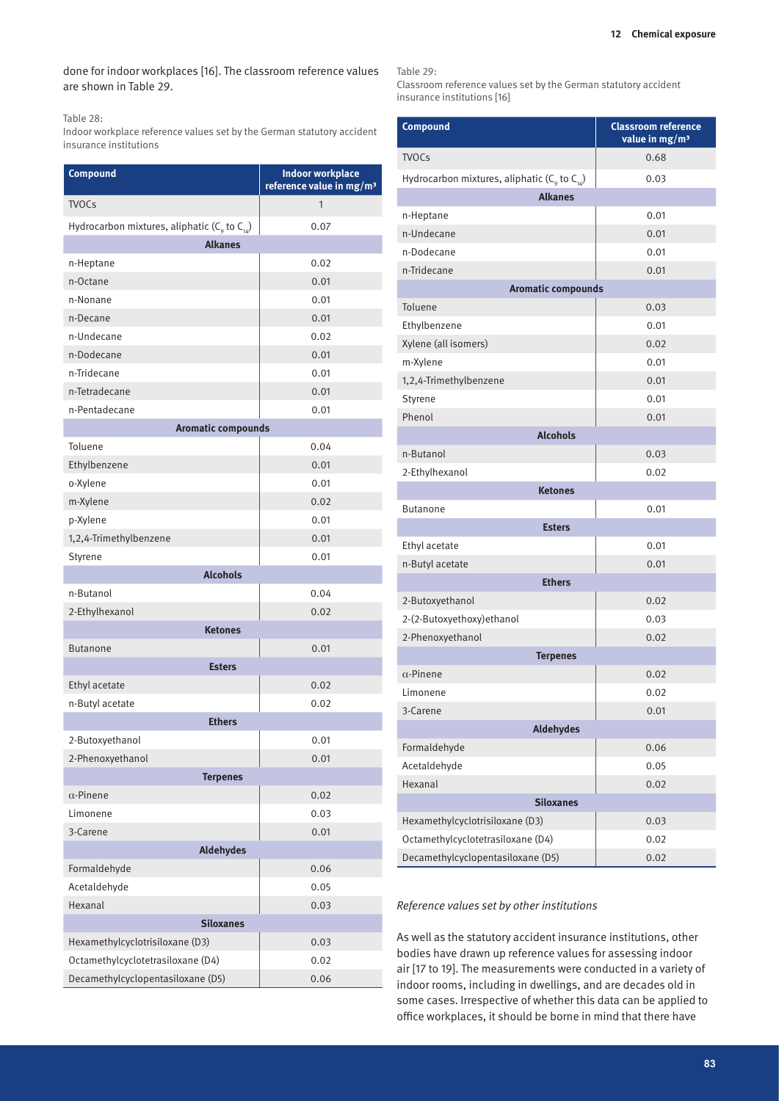#### done for indoor workplaces [16]. The classroom reference values are shown in Table 29.

#### Table 28:

Indoor workplace reference values set by the German statutory accident insurance institutions

| <b>Compound</b>                                       | <b>Indoor workplace</b><br>reference value in mg/m <sup>3</sup> |  |  |
|-------------------------------------------------------|-----------------------------------------------------------------|--|--|
| <b>TVOCs</b>                                          | 1                                                               |  |  |
| Hydrocarbon mixtures, aliphatic ( $C_q$ to $C_{14}$ ) | 0.07                                                            |  |  |
| <b>Alkanes</b>                                        |                                                                 |  |  |
| n-Heptane                                             | 0.02                                                            |  |  |
| n-Octane                                              | 0.01                                                            |  |  |
| n-Nonane                                              | 0.01                                                            |  |  |
| n-Decane                                              | 0.01                                                            |  |  |
| n-Undecane                                            | 0.02                                                            |  |  |
| n-Dodecane                                            | 0.01                                                            |  |  |
| n-Tridecane                                           | 0.01                                                            |  |  |
| n-Tetradecane                                         | 0.01                                                            |  |  |
| n-Pentadecane                                         | 0.01                                                            |  |  |
| <b>Aromatic compounds</b>                             |                                                                 |  |  |
| Toluene                                               | 0.04                                                            |  |  |
| Ethylbenzene                                          | 0.01                                                            |  |  |
| o-Xylene                                              | 0.01                                                            |  |  |
| m-Xylene                                              | 0.02                                                            |  |  |
| p-Xylene                                              | 0.01                                                            |  |  |
| 1,2,4-Trimethylbenzene                                | 0.01                                                            |  |  |
| Styrene                                               | 0.01                                                            |  |  |
| <b>Alcohols</b>                                       |                                                                 |  |  |
| n-Butanol                                             | 0.04                                                            |  |  |
| 2-Ethylhexanol                                        | 0.02                                                            |  |  |
| <b>Ketones</b>                                        |                                                                 |  |  |
| <b>Butanone</b>                                       | 0.01                                                            |  |  |
| <b>Esters</b>                                         |                                                                 |  |  |
| Ethyl acetate                                         | 0.02                                                            |  |  |
| n-Butyl acetate                                       | 0.02                                                            |  |  |
| <b>Ethers</b>                                         |                                                                 |  |  |
| 2-Butoxyethanol                                       | 0.01                                                            |  |  |
| 2-Phenoxyethanol                                      | 0.01                                                            |  |  |
| <b>Terpenes</b>                                       |                                                                 |  |  |
| $\alpha$ -Pinene                                      | 0.02                                                            |  |  |
| Limonene                                              | 0.03                                                            |  |  |
| 3-Carene                                              | 0.01                                                            |  |  |
| <b>Aldehydes</b>                                      |                                                                 |  |  |
| Formaldehyde                                          | 0.06                                                            |  |  |
| Acetaldehyde                                          | 0.05                                                            |  |  |
| Hexanal                                               | 0.03                                                            |  |  |
| <b>Siloxanes</b>                                      |                                                                 |  |  |
| Hexamethylcyclotrisiloxane (D3)                       | 0.03                                                            |  |  |
| Octamethylcyclotetrasiloxane (D4)                     | 0.02                                                            |  |  |
| Decamethylcyclopentasiloxane (D5)                     | 0.06                                                            |  |  |

Table 29:

Classroom reference values set by the German statutory accident insurance institutions [16]

| <b>Compound</b>                                                  | <b>Classroom reference</b><br>value in mg/m <sup>3</sup> |  |  |  |  |
|------------------------------------------------------------------|----------------------------------------------------------|--|--|--|--|
| <b>TVOCs</b>                                                     | 0.68                                                     |  |  |  |  |
| Hydrocarbon mixtures, aliphatic ( $C_{\alpha}$ to $C_{\alpha}$ ) | 0.03                                                     |  |  |  |  |
| <b>Alkanes</b>                                                   |                                                          |  |  |  |  |
| n-Heptane                                                        | 0.01                                                     |  |  |  |  |
| n-Undecane                                                       | 0.01                                                     |  |  |  |  |
| n-Dodecane                                                       | 0.01                                                     |  |  |  |  |
| n-Tridecane                                                      | 0.01                                                     |  |  |  |  |
| <b>Aromatic compounds</b>                                        |                                                          |  |  |  |  |
| Toluene                                                          | 0.03                                                     |  |  |  |  |
| Ethylbenzene                                                     | 0.01                                                     |  |  |  |  |
| Xylene (all isomers)                                             | 0.02                                                     |  |  |  |  |
| m-Xylene                                                         | 0.01                                                     |  |  |  |  |
| 1,2,4-Trimethylbenzene                                           | 0.01                                                     |  |  |  |  |
| Styrene                                                          | 0.01                                                     |  |  |  |  |
| Phenol                                                           | 0.01                                                     |  |  |  |  |
| <b>Alcohols</b>                                                  |                                                          |  |  |  |  |
| n-Butanol                                                        | 0.03                                                     |  |  |  |  |
| 2-Ethylhexanol                                                   | 0.02                                                     |  |  |  |  |
| <b>Ketones</b>                                                   |                                                          |  |  |  |  |
| <b>Butanone</b>                                                  | 0.01                                                     |  |  |  |  |
| <b>Esters</b>                                                    |                                                          |  |  |  |  |
| Ethyl acetate                                                    | 0.01                                                     |  |  |  |  |
| n-Butyl acetate                                                  | 0.01                                                     |  |  |  |  |
| <b>Ethers</b>                                                    |                                                          |  |  |  |  |
| 2-Butoxyethanol                                                  | 0.02                                                     |  |  |  |  |
| 2-(2-Butoxyethoxy) ethanol                                       | 0.03                                                     |  |  |  |  |
| 2-Phenoxyethanol                                                 | 0.02                                                     |  |  |  |  |
| <b>Terpenes</b>                                                  |                                                          |  |  |  |  |
| $\alpha$ -Pinene                                                 | 0.02                                                     |  |  |  |  |
| Limonene                                                         | 0.02                                                     |  |  |  |  |
| 3-Carene                                                         | 0.01                                                     |  |  |  |  |
| <b>Aldehydes</b>                                                 |                                                          |  |  |  |  |
| Formaldehyde                                                     | 0.06                                                     |  |  |  |  |
| Acetaldehyde                                                     | 0.05                                                     |  |  |  |  |
| Hexanal                                                          | 0.02                                                     |  |  |  |  |
| <b>Siloxanes</b>                                                 |                                                          |  |  |  |  |
| Hexamethylcyclotrisiloxane (D3)                                  | 0.03                                                     |  |  |  |  |
| Octamethylcyclotetrasiloxane (D4)                                | 0.02                                                     |  |  |  |  |
| Decamethylcyclopentasiloxane (D5)                                | 0.02                                                     |  |  |  |  |

#### *Reference values set by other institutions*

As well as the statutory accident insurance institutions, other bodies have drawn up reference values for assessing indoor air [17 to 19]. The measurements were conducted in a variety of indoor rooms, including in dwellings, and are decades old in some cases. Irrespective of whether this data can be applied to office workplaces, it should be borne in mind that there have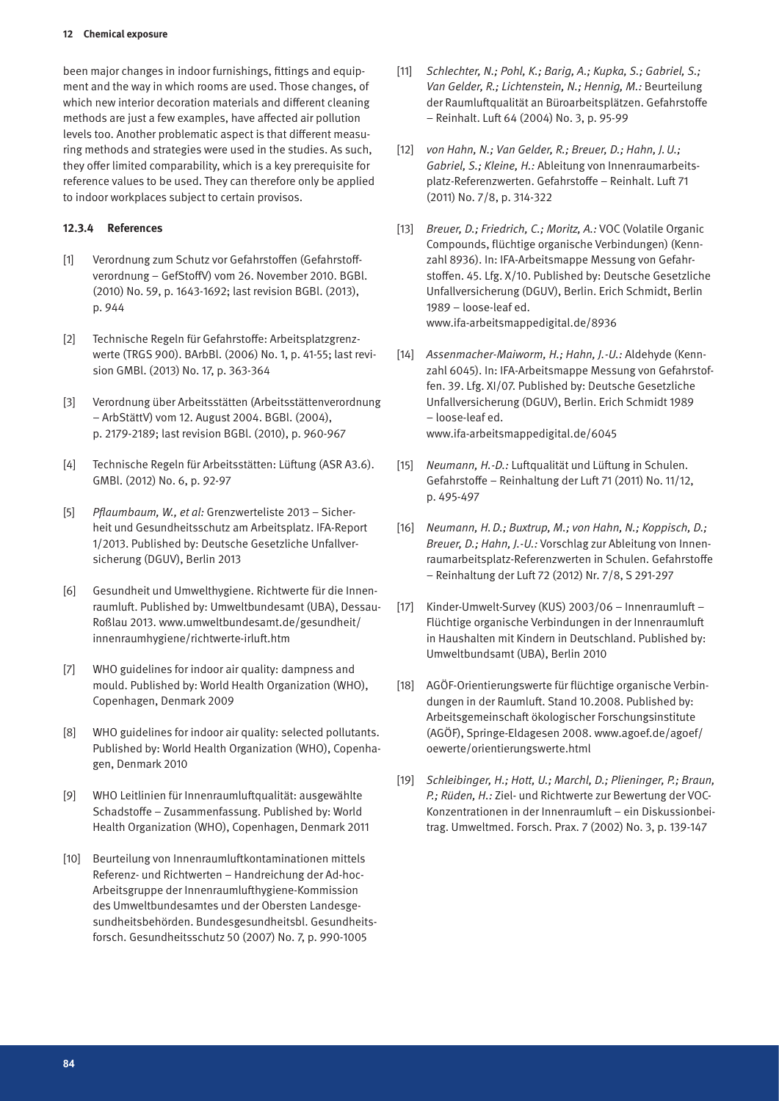been major changes in indoor furnishings, fittings and equipment and the way in which rooms are used. Those changes, of which new interior decoration materials and different cleaning methods are just a few examples, have affected air pollution levels too. Another problematic aspect is that different measuring methods and strategies were used in the studies. As such, they offer limited comparability, which is a key prerequisite for reference values to be used. They can therefore only be applied to indoor workplaces subject to certain provisos.

#### **12.3.4 References**

- [1] Verordnung zum Schutz vor Gefahrstoffen (Gefahrstoffverordnung – GefStoffV) vom 26. November 2010. BGBl. (2010) No. 59, p. 1643-1692; last revision BGBl. (2013), p. 944
- [2] Technische Regeln für Gefahrstoffe: Arbeitsplatzgrenzwerte (TRGS 900). BArbBl. (2006) No. 1, p. 41-55; last revision GMBl. (2013) No. 17, p. 363-364
- [3] Verordnung über Arbeitsstätten (Arbeitsstättenverordnung – ArbStättV) vom 12. August 2004. BGBl. (2004), p. 2179-2189; last revision BGBl. (2010), p. 960-967
- [4] Technische Regeln für Arbeitsstätten: Lüftung (ASR A3.6). GMBl. (2012) No. 6, p. 92-97
- [5] *Pflaumbaum, W., et al:* Grenzwerteliste 2013 Sicherheit und Gesundheitsschutz am Arbeitsplatz. IFA-Report 1/2013. Published by: Deutsche Gesetzliche Unfallversicherung (DGUV), Berlin 2013
- [6] Gesundheit und Umwelthygiene. Richtwerte für die Innenraumluft. Published by: Umweltbundesamt (UBA), Dessau-Roßlau 2013. www.umweltbundesamt.de/gesundheit/ innenraumhygiene/richtwerte-irluft.htm
- [7] WHO guidelines for indoor air quality: dampness and mould. Published by: World Health Organization (WHO), Copenhagen, Denmark 2009
- [8] WHO guidelines for indoor air quality: selected pollutants. Published by: World Health Organization (WHO), Copenhagen, Denmark 2010
- [9] WHO Leitlinien für Innenraumluftqualität: ausgewählte Schadstoffe – Zusammenfassung. Published by: World Health Organization (WHO), Copenhagen, Denmark 2011
- [10] Beurteilung von Innenraumluftkontaminationen mittels Referenz- und Richtwerten – Handreichung der Ad-hoc-Arbeitsgruppe der Innenraumlufthygiene-Kommission des Umweltbundesamtes und der Obersten Landesgesundheitsbehörden. Bundesgesundheitsbl. Gesundheitsforsch. Gesundheitsschutz 50 (2007) No. 7, p. 990-1005
- [11] *Schlechter, N.; Pohl, K.; Barig, A.; Kupka, S.; Gabriel, S.; Van Gelder, R.; Lichtenstein, N.; Hennig, M.:* Beurteilung der Raumluftqualität an Büroarbeitsplätzen. Gefahrstoffe – Reinhalt. Luft 64 (2004) No. 3, p. 95-99
- [12] *von Hahn, N.; Van Gelder, R.; Breuer, D.; Hahn, J.U.; Gabriel, S.; Kleine, H.:* Ableitung von Innenraumarbeitsplatz-Referenzwerten. Gefahrstoffe – Reinhalt. Luft 71 (2011) No. 7/8, p. 314-322
- [13] *Breuer, D.; Friedrich, C.; Moritz, A.:* VOC (Volatile Organic Compounds, flüchtige organische Verbindungen) (Kennzahl 8936). In: IFA-Arbeitsmappe Messung von Gefahrstoffen. 45. Lfg. X/10. Published by: Deutsche Gesetzliche Unfallversicherung (DGUV), Berlin. Erich Schmidt, Berlin 1989 – loose-leaf ed. www.ifa-arbeitsmappedigital.de/8936
- [14] *Assenmacher-Maiworm, H.; Hahn, J.-U.:* Aldehyde (Kennzahl 6045). In: IFA-Arbeitsmappe Messung von Gefahrstoffen. 39. Lfg. XI/07. Published by: Deutsche Gesetzliche Unfallversicherung (DGUV), Berlin. Erich Schmidt 1989 – loose-leaf ed. www.ifa-arbeitsmappedigital.de/6045
- [15] *Neumann, H.-D.:* Luftqualität und Lüftung in Schulen. Gefahrstoffe – Reinhaltung der Luft 71 (2011) No. 11/12, p. 495-497
- [16] *Neumann, H.D.; Buxtrup, M.; von Hahn, N.; Koppisch, D.; Breuer, D.; Hahn, J.-U.:* Vorschlag zur Ableitung von Innenraumarbeitsplatz-Referenzwerten in Schulen. Gefahrstoffe – Reinhaltung der Luft 72 (2012) Nr. 7/8, S 291-297
- [17] Kinder-Umwelt-Survey (KUS) 2003/06 Innenraumluft Flüchtige organische Verbindungen in der Innenraumluft in Haushalten mit Kindern in Deutschland. Published by: Umweltbundsamt (UBA), Berlin 2010
- [18] AGÖF-Orientierungswerte für flüchtige organische Verbindungen in der Raumluft. Stand 10.2008. Published by: Arbeitsgemeinschaft ökologischer Forschungsinstitute (AGÖF), Springe-Eldagesen 2008. www.agoef.de/agoef/ oewerte/orientierungswerte.html
- [19] *Schleibinger, H.; Hott, U.; Marchl, D.; Plieninger, P.; Braun, P.; Rüden, H.:* Ziel- und Richtwerte zur Bewertung der VOC-Konzentrationen in der Innenraumluft – ein Diskussionbeitrag. Umweltmed. Forsch. Prax. 7 (2002) No. 3, p. 139-147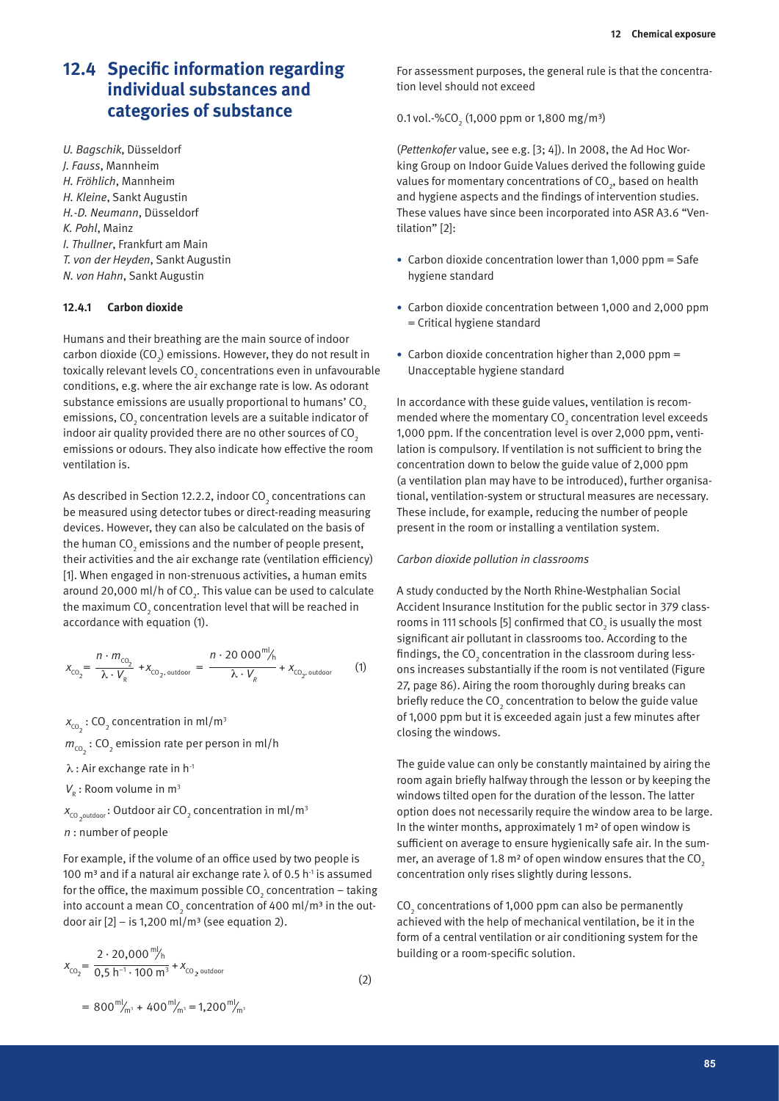## **12.4 Specific information regarding individual substances and categories of substance**

*U. Bagschik*, Düsseldorf *J. Fauss*, Mannheim *H. Fröhlich*, Mannheim *H. Kleine*, Sankt Augustin *H.-D. Neumann*, Düsseldorf *K. Pohl*, Mainz *I. Thullner*, Frankfurt am Main *T. von der Heyden*, Sankt Augustin *N. von Hahn*, Sankt Augustin

#### **12.4.1 Carbon dioxide**

Humans and their breathing are the main source of indoor carbon dioxide (CO $_{2}$ ) emissions. However, they do not result in toxically relevant levels CO $_{\textrm{\tiny{2}}}$  concentrations even in unfavourable conditions, e.g. where the air exchange rate is low. As odorant substance emissions are usually proportional to humans' CO<sub>2</sub> emissions, CO $_{\textrm{\tiny{2}}}$  concentration levels are a suitable indicator of indoor air quality provided there are no other sources of  $CO<sub>2</sub>$ emissions or odours. They also indicate how effective the room ventilation is.

As described in Section 12.2.2, indoor CO $_{\rm 2}$  concentrations can be measured using detector tubes or direct-reading measuring devices. However, they can also be calculated on the basis of the human CO $_{\textrm{\tiny{2}}}$  emissions and the number of people present, their activities and the air exchange rate (ventilation efficiency) [1]. When engaged in non-strenuous activities, a human emits around 20,000 ml/h of CO<sub>2</sub>. This value can be used to calculate the maximum CO $_{_2}$  concentration level that will be reached in accordance with equation (1).

$$
x_{\text{CO}_2} = \frac{n \cdot m_{\text{CO}_2}}{\lambda \cdot V_R} + x_{\text{CO}_2, \text{ outdoor}} = \frac{n \cdot 20\ 000^{m/2} h}{\lambda \cdot V_R} + x_{\text{CO}_2, \text{ outdoor}} \tag{1}
$$

 $x_{\text{co}_2}$  : CO<sub>2</sub> concentration in ml/m<sup>3</sup>

 $m_{\text{co}_2}$  : CO<sub>2</sub> emission rate per person in ml/h

- $\lambda$  : Air exchange rate in h $^{\text{-}1}$
- $V_{\rm R}$ : Room volume in m<sup>3</sup>
- $\bm{x}_{\text{co}_2$ outdoor : Outdoor air CO<sub>2</sub> concentration in ml/m<sup>3</sup>
- *n* : number of people

For example, if the volume of an office used by two people is 100 m<sup>3</sup> and if a natural air exchange rate λ of 0.5 h<sup>-1</sup> is assumed for the office, the maximum possible CO $_{_2}$  concentration – taking into account a mean CO $_2$  concentration of 400 ml/m<sup>3</sup> in the outdoor air  $[2]$  – is 1,200 ml/m<sup>3</sup> (see equation 2).

$$
x_{\text{CO}_2} = \frac{2 \cdot 20,000 \, \text{m/s}}{0.5 \, \text{h}^{-1} \cdot 100 \, \text{m}^3} + x_{\text{CO}_2 \text{ outdoor}} \tag{2}
$$

For assessment purposes, the general rule is that the concentration level should not exceed

0.1 vol.-%CO<sub>2</sub> (1,000 ppm or 1,800 mg/m<sup>3</sup>)

(*Pettenkofer* value, see e.g. [3; 4]). In 2008, the Ad Hoc Working Group on Indoor Guide Values derived the following guide values for momentary concentrations of CO $_{_2}$ , based on health and hygiene aspects and the findings of intervention studies. These values have since been incorporated into ASR A3.6 "Ventilation" [2]:

- Carbon dioxide concentration lower than 1,000 ppm = Safe hygiene standard
- • Carbon dioxide concentration between 1,000 and 2,000 ppm = Critical hygiene standard
- Carbon dioxide concentration higher than 2,000 ppm = Unacceptable hygiene standard

In accordance with these guide values, ventilation is recommended where the momentary CO<sub>2</sub> concentration level exceeds 1,000 ppm. If the concentration level is over 2,000 ppm, ventilation is compulsory. If ventilation is not sufficient to bring the concentration down to below the guide value of 2,000 ppm (a ventilation plan may have to be introduced), further organisational, ventilation-system or structural measures are necessary. These include, for example, reducing the number of people present in the room or installing a ventilation system.

#### *Carbon dioxide pollution in classrooms*

A study conducted by the North Rhine-Westphalian Social Accident Insurance Institution for the public sector in 379 classrooms in 111 schools [5] confirmed that CO<sub>2</sub> is usually the most significant air pollutant in classrooms too. According to the findings, the CO $_{_2}$  concentration in the classroom during lessons increases substantially if the room is not ventilated (Figure 27, page 86). Airing the room thoroughly during breaks can briefly reduce the CO<sub>2</sub> concentration to below the guide value of 1,000 ppm but it is exceeded again just a few minutes after closing the windows.

The guide value can only be constantly maintained by airing the room again briefly halfway through the lesson or by keeping the windows tilted open for the duration of the lesson. The latter option does not necessarily require the window area to be large. In the winter months, approximately 1 m² of open window is sufficient on average to ensure hygienically safe air. In the summer, an average of 1.8  $m<sup>2</sup>$  of open window ensures that the CO<sub>2</sub> concentration only rises slightly during lessons.

 $CO<sub>2</sub>$  concentrations of 1,000 ppm can also be permanently achieved with the help of mechanical ventilation, be it in the form of a central ventilation or air conditioning system for the building or a room-specific solution.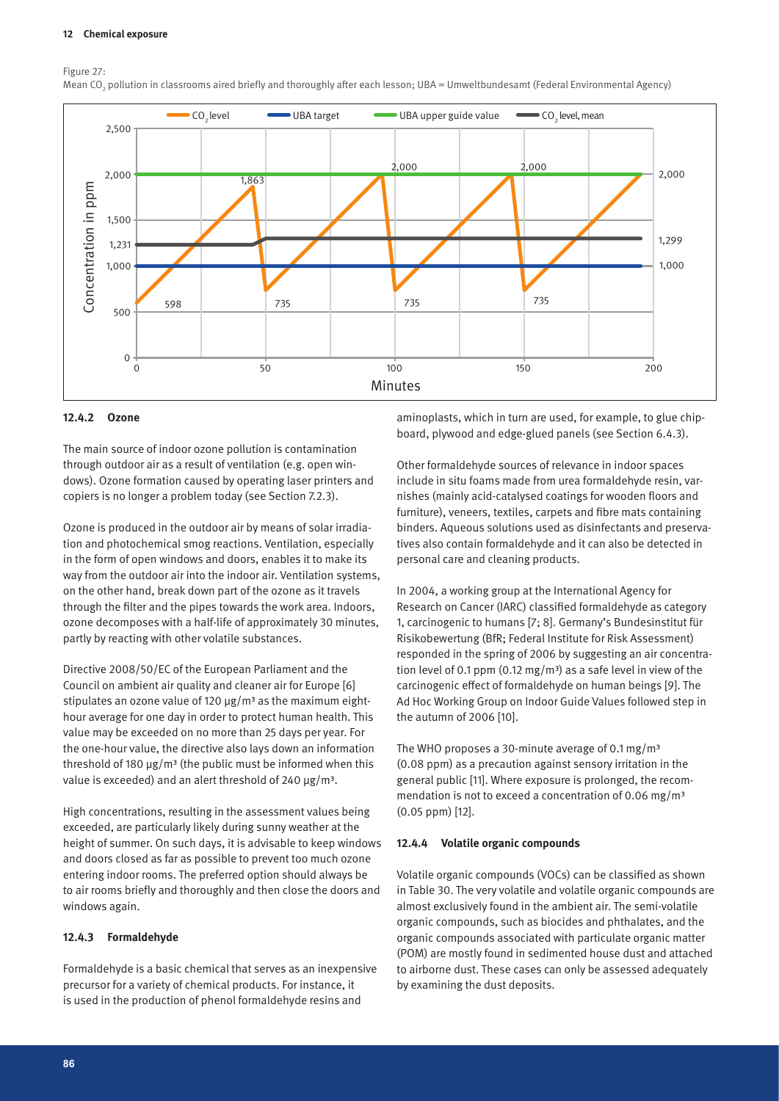Figure 27:

Mean CO<sub>2</sub> pollution in classrooms aired briefly and thoroughly after each lesson; UBA = Umweltbundesamt (Federal Environmental Agency)



#### **12.4.2 Ozone**

The main source of indoor ozone pollution is contamination through outdoor air as a result of ventilation (e.g. open windows). Ozone formation caused by operating laser printers and copiers is no longer a problem today (see Section 7.2.3).

Ozone is produced in the outdoor air by means of solar irradiation and photochemical smog reactions. Ventilation, especially in the form of open windows and doors, enables it to make its way from the outdoor air into the indoor air. Ventilation systems, on the other hand, break down part of the ozone as it travels through the filter and the pipes towards the work area. Indoors, ozone decomposes with a half-life of approximately 30 minutes, partly by reacting with other volatile substances.

Directive 2008/50/EC of the European Parliament and the Council on ambient air quality and cleaner air for Europe [6] stipulates an ozone value of 120  $\mu$ g/m<sup>3</sup> as the maximum eighthour average for one day in order to protect human health. This value may be exceeded on no more than 25 days per year. For the one-hour value, the directive also lays down an information threshold of 180  $\mu$ g/m<sup>3</sup> (the public must be informed when this value is exceeded) and an alert threshold of 240  $\mu$ g/m<sup>3</sup>.

High concentrations, resulting in the assessment values being exceeded, are particularly likely during sunny weather at the height of summer. On such days, it is advisable to keep windows and doors closed as far as possible to prevent too much ozone entering indoor rooms. The preferred option should always be to air rooms briefly and thoroughly and then close the doors and windows again.

#### **12.4.3 Formaldehyde**

Formaldehyde is a basic chemical that serves as an inexpensive precursor for a variety of chemical products. For instance, it is used in the production of phenol formaldehyde resins and

aminoplasts, which in turn are used, for example, to glue chipboard, plywood and edge-glued panels (see Section 6.4.3).

Other formaldehyde sources of relevance in indoor spaces include in situ foams made from urea formaldehyde resin, varnishes (mainly acid-catalysed coatings for wooden floors and furniture), veneers, textiles, carpets and fibre mats containing binders. Aqueous solutions used as disinfectants and preservatives also contain formaldehyde and it can also be detected in personal care and cleaning products.

In 2004, a working group at the International Agency for Research on Cancer (IARC) classified formaldehyde as category 1, carcinogenic to humans [7; 8]. Germany's Bundesinstitut für Risikobewertung (BfR; Federal Institute for Risk Assessment) responded in the spring of 2006 by suggesting an air concentration level of 0.1 ppm (0.12 mg/m<sup>3</sup>) as a safe level in view of the carcinogenic effect of formaldehyde on human beings [9]. The Ad Hoc Working Group on Indoor Guide Values followed step in the autumn of 2006 [10].

The WHO proposes a 30-minute average of 0.1 mg/m<sup>3</sup> (0.08 ppm) as a precaution against sensory irritation in the general public [11]. Where exposure is prolonged, the recommendation is not to exceed a concentration of 0.06 mg/m<sup>3</sup> (0.05 ppm) [12].

#### **12.4.4 Volatile organic compounds**

Volatile organic compounds (VOCs) can be classified as shown in Table 30. The very volatile and volatile organic compounds are almost exclusively found in the ambient air. The semi-volatile organic compounds, such as biocides and phthalates, and the organic compounds associated with particulate organic matter (POM) are mostly found in sedimented house dust and attached to airborne dust. These cases can only be assessed adequately by examining the dust deposits.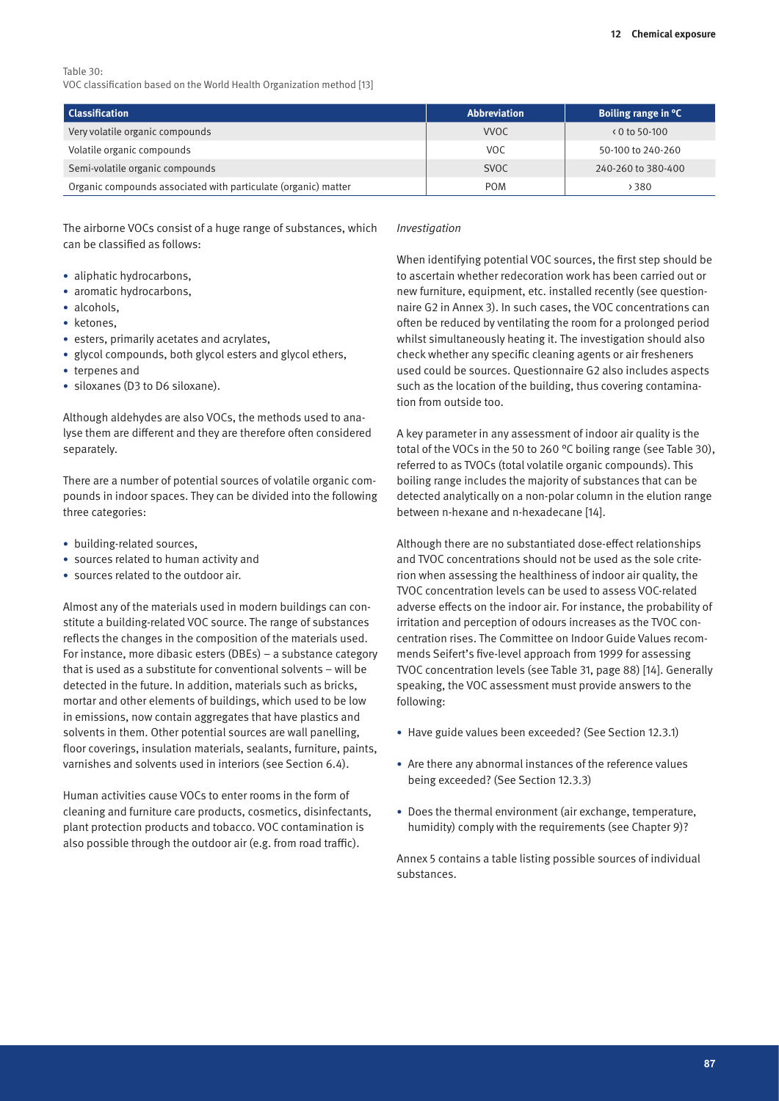#### Table 30: VOC classification based on the World Health Organization method [13]

| <b>Classification</b>                                          | <b>Abbreviation</b> | Boiling range in °C          |
|----------------------------------------------------------------|---------------------|------------------------------|
| Very volatile organic compounds                                | <b>VVOC</b>         | $\left( 0 \right.$ to 50-100 |
| Volatile organic compounds                                     | VOC.                | 50-100 to 240-260            |
| Semi-volatile organic compounds                                | <b>SVOC</b>         | 240-260 to 380-400           |
| Organic compounds associated with particulate (organic) matter | <b>POM</b>          | 380 ہ                        |

The airborne VOCs consist of a huge range of substances, which can be classified as follows:

- aliphatic hydrocarbons,
- aromatic hydrocarbons,
- alcohols,
- ketones,
- • esters, primarily acetates and acrylates,
- glycol compounds, both glycol esters and glycol ethers,
- • terpenes and
- siloxanes (D3 to D6 siloxane).

Although aldehydes are also VOCs, the methods used to analyse them are different and they are therefore often considered separately.

There are a number of potential sources of volatile organic compounds in indoor spaces. They can be divided into the following three categories:

- building-related sources,
- • sources related to human activity and
- • sources related to the outdoor air.

Almost any of the materials used in modern buildings can constitute a building-related VOC source. The range of substances reflects the changes in the composition of the materials used. For instance, more dibasic esters (DBEs) – a substance category that is used as a substitute for conventional solvents – will be detected in the future. In addition, materials such as bricks, mortar and other elements of buildings, which used to be low in emissions, now contain aggregates that have plastics and solvents in them. Other potential sources are wall panelling, floor coverings, insulation materials, sealants, furniture, paints, varnishes and solvents used in interiors (see Section 6.4).

Human activities cause VOCs to enter rooms in the form of cleaning and furniture care products, cosmetics, disinfectants, plant protection products and tobacco. VOC contamination is also possible through the outdoor air (e.g. from road traffic).

#### *Investigation*

When identifying potential VOC sources, the first step should be to ascertain whether redecoration work has been carried out or new furniture, equipment, etc. installed recently (see questionnaire G2 in Annex 3). In such cases, the VOC concentrations can often be reduced by ventilating the room for a prolonged period whilst simultaneously heating it. The investigation should also check whether any specific cleaning agents or air fresheners used could be sources. Questionnaire G2 also includes aspects such as the location of the building, thus covering contamination from outside too.

A key parameter in any assessment of indoor air quality is the total of the VOCs in the 50 to 260 °C boiling range (see Table 30), referred to as TVOCs (total volatile organic compounds). This boiling range includes the majority of substances that can be detected analytically on a non-polar column in the elution range between n-hexane and n-hexadecane [14].

Although there are no substantiated dose-effect relationships and TVOC concentrations should not be used as the sole criterion when assessing the healthiness of indoor air quality, the TVOC concentration levels can be used to assess VOC-related adverse effects on the indoor air. For instance, the probability of irritation and perception of odours increases as the TVOC concentration rises. The Committee on Indoor Guide Values recommends Seifert's five-level approach from 1999 for assessing TVOC concentration levels (see Table 31, page 88) [14]. Generally speaking, the VOC assessment must provide answers to the following:

- Have guide values been exceeded? (See Section 12.3.1)
- Are there any abnormal instances of the reference values being exceeded? (See Section 12.3.3)
- Does the thermal environment (air exchange, temperature, humidity) comply with the requirements (see Chapter 9)?

Annex 5 contains a table listing possible sources of individual substances.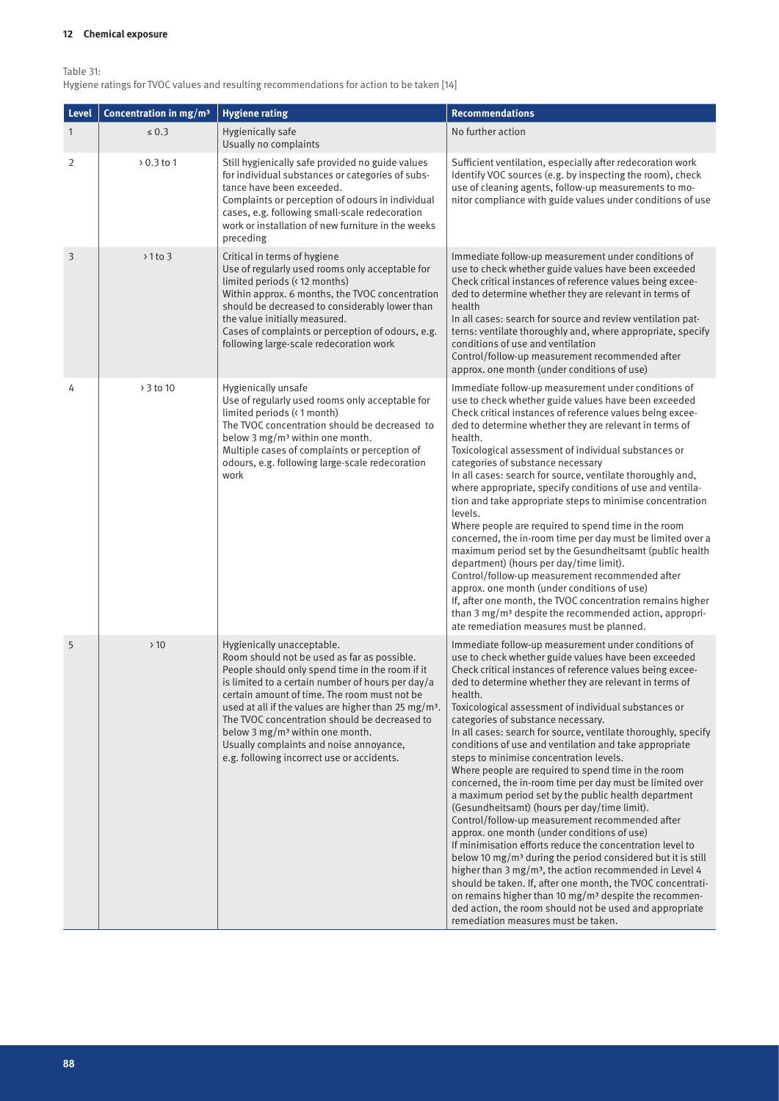Table 31:

Hygiene ratings for TVOC values and resulting recommendations for action to be taken [14]

| Level        | Concentration in mg/m <sup>3</sup> | <b>Hygiene rating</b>                                                                                                                                                                                                                                                                                                                                                                                                                                                                         | <b>Recommendations</b>                                                                                                                                                                                                                                                                                                                                                                                                                                                                                                                                                                                                                                                                                                                                                                                                                                                                                                                                                                                                                                                                                                                                                                                                                                                                               |
|--------------|------------------------------------|-----------------------------------------------------------------------------------------------------------------------------------------------------------------------------------------------------------------------------------------------------------------------------------------------------------------------------------------------------------------------------------------------------------------------------------------------------------------------------------------------|------------------------------------------------------------------------------------------------------------------------------------------------------------------------------------------------------------------------------------------------------------------------------------------------------------------------------------------------------------------------------------------------------------------------------------------------------------------------------------------------------------------------------------------------------------------------------------------------------------------------------------------------------------------------------------------------------------------------------------------------------------------------------------------------------------------------------------------------------------------------------------------------------------------------------------------------------------------------------------------------------------------------------------------------------------------------------------------------------------------------------------------------------------------------------------------------------------------------------------------------------------------------------------------------------|
| $\mathbf{1}$ | $\leq 0.3$                         | Hygienically safe<br>Usually no complaints                                                                                                                                                                                                                                                                                                                                                                                                                                                    | No further action                                                                                                                                                                                                                                                                                                                                                                                                                                                                                                                                                                                                                                                                                                                                                                                                                                                                                                                                                                                                                                                                                                                                                                                                                                                                                    |
| 2            | > 0.3 to 1                         | Still hygienically safe provided no guide values<br>for individual substances or categories of subs-<br>tance have been exceeded.<br>Complaints or perception of odours in individual<br>cases, e.g. following small-scale redecoration<br>work or installation of new furniture in the weeks<br>preceding                                                                                                                                                                                    | Sufficient ventilation, especially after redecoration work<br>Identify VOC sources (e.g. by inspecting the room), check<br>use of cleaning agents, follow-up measurements to mo-<br>nitor compliance with guide values under conditions of use                                                                                                                                                                                                                                                                                                                                                                                                                                                                                                                                                                                                                                                                                                                                                                                                                                                                                                                                                                                                                                                       |
| 3            | $> 1$ to 3                         | Critical in terms of hygiene<br>Use of regularly used rooms only acceptable for<br>limited periods (< 12 months)<br>Within approx. 6 months, the TVOC concentration<br>should be decreased to considerably lower than<br>the value initially measured.<br>Cases of complaints or perception of odours, e.g.<br>following large-scale redecoration work                                                                                                                                        | Immediate follow-up measurement under conditions of<br>use to check whether guide values have been exceeded<br>Check critical instances of reference values being excee-<br>ded to determine whether they are relevant in terms of<br>health<br>In all cases: search for source and review ventilation pat-<br>terns: ventilate thoroughly and, where appropriate, specify<br>conditions of use and ventilation<br>Control/follow-up measurement recommended after<br>approx. one month (under conditions of use)                                                                                                                                                                                                                                                                                                                                                                                                                                                                                                                                                                                                                                                                                                                                                                                    |
| 4            | > 3 to 10                          | Hygienically unsafe<br>Use of regularly used rooms only acceptable for<br>limited periods (< 1 month)<br>The TVOC concentration should be decreased to<br>below 3 $mg/m3$ within one month.<br>Multiple cases of complaints or perception of<br>odours, e.g. following large-scale redecoration<br>work                                                                                                                                                                                       | Immediate follow-up measurement under conditions of<br>use to check whether guide values have been exceeded<br>Check critical instances of reference values being excee-<br>ded to determine whether they are relevant in terms of<br>health.<br>Toxicological assessment of individual substances or<br>categories of substance necessary<br>In all cases: search for source, ventilate thoroughly and,<br>where appropriate, specify conditions of use and ventila-<br>tion and take appropriate steps to minimise concentration<br>levels.<br>Where people are required to spend time in the room<br>concerned, the in-room time per day must be limited over a<br>maximum period set by the Gesundheitsamt (public health<br>department) (hours per day/time limit).<br>Control/follow-up measurement recommended after<br>approx. one month (under conditions of use)<br>If, after one month, the TVOC concentration remains higher<br>than 3 mg/m <sup>3</sup> despite the recommended action, appropri-<br>ate remediation measures must be planned.                                                                                                                                                                                                                                          |
| 5            | >10                                | Hygienically unacceptable.<br>Room should not be used as far as possible.<br>People should only spend time in the room if it<br>is limited to a certain number of hours per day/a<br>certain amount of time. The room must not be<br>used at all if the values are higher than 25 mg/m <sup>3</sup> .<br>The TVOC concentration should be decreased to<br>below $3 \text{ mg/m}^3$ within one month.<br>Usually complaints and noise annoyance,<br>e.g. following incorrect use or accidents. | Immediate follow-up measurement under conditions of<br>use to check whether guide values have been exceeded<br>Check critical instances of reference values being excee-<br>ded to determine whether they are relevant in terms of<br>health.<br>Toxicological assessment of individual substances or<br>categories of substance necessary.<br>In all cases: search for source, ventilate thoroughly, specify<br>conditions of use and ventilation and take appropriate<br>steps to minimise concentration levels.<br>Where people are required to spend time in the room<br>concerned, the in-room time per day must be limited over<br>a maximum period set by the public health department<br>(Gesundheitsamt) (hours per day/time limit).<br>Control/follow-up measurement recommended after<br>approx, one month (under conditions of use)<br>If minimisation efforts reduce the concentration level to<br>below 10 mg/m <sup>3</sup> during the period considered but it is still<br>higher than 3 mg/m <sup>3</sup> , the action recommended in Level 4<br>should be taken. If, after one month, the TVOC concentrati-<br>on remains higher than 10 mg/m <sup>3</sup> despite the recommen-<br>ded action, the room should not be used and appropriate<br>remediation measures must be taken. |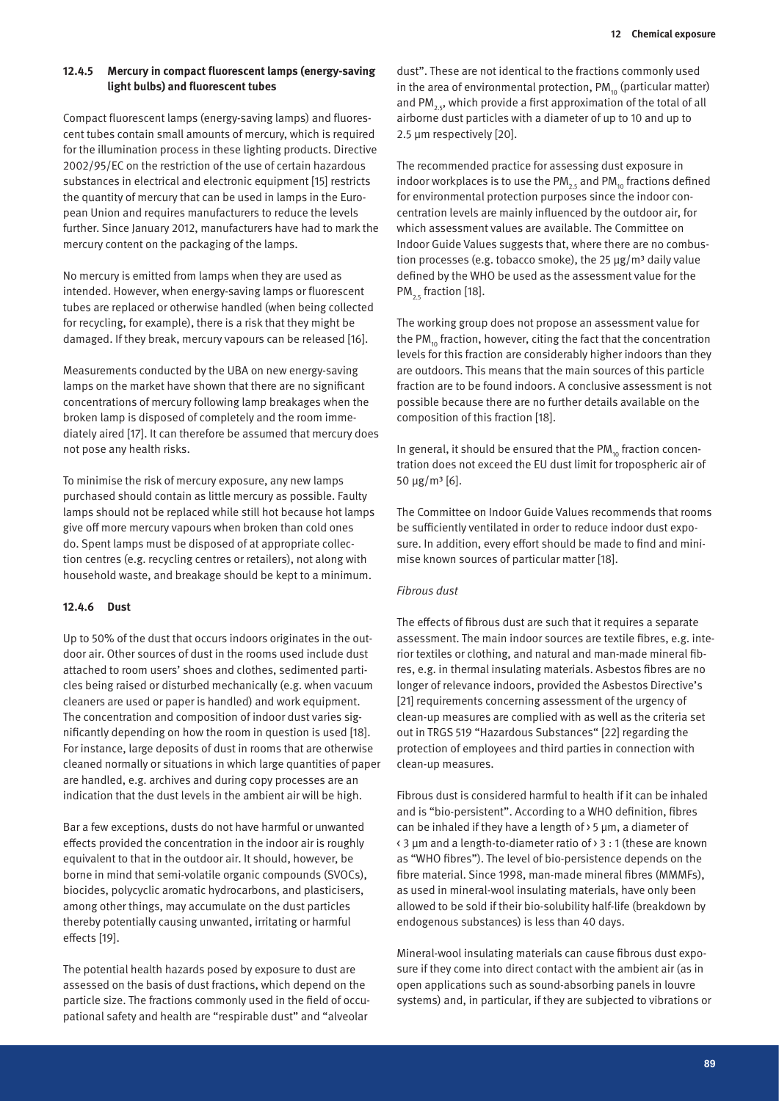#### **12.4.5 Mercury in compact fluorescent lamps (energy-saving light bulbs) and fluorescent tubes**

Compact fluorescent lamps (energy-saving lamps) and fluorescent tubes contain small amounts of mercury, which is required for the illumination process in these lighting products. Directive 2002/95/EC on the restriction of the use of certain hazardous substances in electrical and electronic equipment [15] restricts the quantity of mercury that can be used in lamps in the European Union and requires manufacturers to reduce the levels further. Since January 2012, manufacturers have had to mark the mercury content on the packaging of the lamps.

No mercury is emitted from lamps when they are used as intended. However, when energy-saving lamps or fluorescent tubes are replaced or otherwise handled (when being collected for recycling, for example), there is a risk that they might be damaged. If they break, mercury vapours can be released [16].

Measurements conducted by the UBA on new energy-saving lamps on the market have shown that there are no significant concentrations of mercury following lamp breakages when the broken lamp is disposed of completely and the room immediately aired [17]. It can therefore be assumed that mercury does not pose any health risks.

To minimise the risk of mercury exposure, any new lamps purchased should contain as little mercury as possible. Faulty lamps should not be replaced while still hot because hot lamps give off more mercury vapours when broken than cold ones do. Spent lamps must be disposed of at appropriate collection centres (e.g. recycling centres or retailers), not along with household waste, and breakage should be kept to a minimum.

#### **12.4.6 Dust**

Up to 50% of the dust that occurs indoors originates in the outdoor air. Other sources of dust in the rooms used include dust attached to room users' shoes and clothes, sedimented particles being raised or disturbed mechanically (e.g. when vacuum cleaners are used or paper is handled) and work equipment. The concentration and composition of indoor dust varies significantly depending on how the room in question is used [18]. For instance, large deposits of dust in rooms that are otherwise cleaned normally or situations in which large quantities of paper are handled, e.g. archives and during copy processes are an indication that the dust levels in the ambient air will be high.

Bar a few exceptions, dusts do not have harmful or unwanted effects provided the concentration in the indoor air is roughly equivalent to that in the outdoor air. It should, however, be borne in mind that semi-volatile organic compounds (SVOCs), biocides, polycyclic aromatic hydrocarbons, and plasticisers, among other things, may accumulate on the dust particles thereby potentially causing unwanted, irritating or harmful effects [19].

The potential health hazards posed by exposure to dust are assessed on the basis of dust fractions, which depend on the particle size. The fractions commonly used in the field of occupational safety and health are "respirable dust" and "alveolar

dust". These are not identical to the fractions commonly used in the area of environmental protection,  $PM_{10}$  (particular matter) and PM<sub>2.5</sub>, which provide a first approximation of the total of all airborne dust particles with a diameter of up to 10 and up to 2.5 µm respectively [20].

The recommended practice for assessing dust exposure in indoor workplaces is to use the PM<sub>25</sub> and PM<sub>10</sub> fractions defined for environmental protection purposes since the indoor concentration levels are mainly influenced by the outdoor air, for which assessment values are available. The Committee on Indoor Guide Values suggests that, where there are no combustion processes (e.g. tobacco smoke), the 25  $\mu$ g/m<sup>3</sup> daily value defined by the WHO be used as the assessment value for the PM<sub>25</sub> fraction [18].

The working group does not propose an assessment value for the PM $_{10}$  fraction, however, citing the fact that the concentration levels for this fraction are considerably higher indoors than they are outdoors. This means that the main sources of this particle fraction are to be found indoors. A conclusive assessment is not possible because there are no further details available on the composition of this fraction [18].

In general, it should be ensured that the  $PM_{10}$  fraction concentration does not exceed the EU dust limit for tropospheric air of 50 µg/m³ [6].

The Committee on Indoor Guide Values recommends that rooms be sufficiently ventilated in order to reduce indoor dust exposure. In addition, every effort should be made to find and minimise known sources of particular matter [18].

#### *Fibrous dust*

The effects of fibrous dust are such that it requires a separate assessment. The main indoor sources are textile fibres, e.g. interior textiles or clothing, and natural and man-made mineral fibres, e.g. in thermal insulating materials. Asbestos fibres are no longer of relevance indoors, provided the Asbestos Directive's [21] requirements concerning assessment of the urgency of clean-up measures are complied with as well as the criteria set out in TRGS 519 "Hazardous Substances" [22] regarding the protection of employees and third parties in connection with clean-up measures.

Fibrous dust is considered harmful to health if it can be inhaled and is "bio-persistent". According to a WHO definition, fibres can be inhaled if they have a length of > 5 µm, a diameter of < 3 µm and a length-to-diameter ratio of > 3 : 1 (these are known as "WHO fibres"). The level of bio-persistence depends on the fibre material. Since 1998, man-made mineral fibres (MMMFs), as used in mineral-wool insulating materials, have only been allowed to be sold if their bio-solubility half-life (breakdown by endogenous substances) is less than 40 days.

Mineral-wool insulating materials can cause fibrous dust exposure if they come into direct contact with the ambient air (as in open applications such as sound-absorbing panels in louvre systems) and, in particular, if they are subjected to vibrations or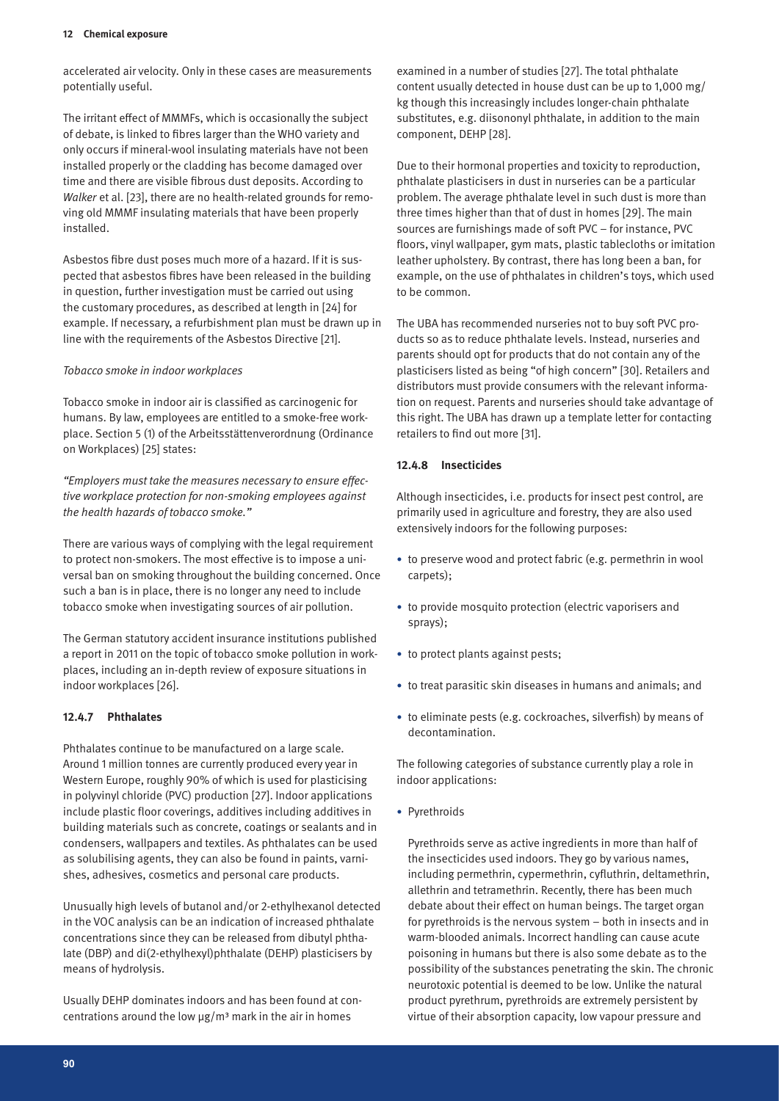accelerated air velocity. Only in these cases are measurements potentially useful.

The irritant effect of MMMFs, which is occasionally the subject of debate, is linked to fibres larger than the WHO variety and only occurs if mineral-wool insulating materials have not been installed properly or the cladding has become damaged over time and there are visible fibrous dust deposits. According to *Walker* et al. [23], there are no health-related grounds for removing old MMMF insulating materials that have been properly installed.

Asbestos fibre dust poses much more of a hazard. If it is suspected that asbestos fibres have been released in the building in question, further investigation must be carried out using the customary procedures, as described at length in [24] for example. If necessary, a refurbishment plan must be drawn up in line with the requirements of the Asbestos Directive [21].

#### *Tobacco smoke in indoor workplaces*

Tobacco smoke in indoor air is classified as carcinogenic for humans. By law, employees are entitled to a smoke-free workplace. Section 5 (1) of the Arbeitsstättenverordnung (Ordinance on Workplaces) [25] states:

*"Employers must take the measures necessary to ensure effective workplace protection for non-smoking employees against the health hazards of tobacco smoke."*

There are various ways of complying with the legal requirement to protect non-smokers. The most effective is to impose a universal ban on smoking throughout the building concerned. Once such a ban is in place, there is no longer any need to include tobacco smoke when investigating sources of air pollution.

The German statutory accident insurance institutions published a report in 2011 on the topic of tobacco smoke pollution in workplaces, including an in-depth review of exposure situations in indoor workplaces [26].

#### **12.4.7 Phthalates**

Phthalates continue to be manufactured on a large scale. Around 1 million tonnes are currently produced every year in Western Europe, roughly 90% of which is used for plasticising in polyvinyl chloride (PVC) production [27]. Indoor applications include plastic floor coverings, additives including additives in building materials such as concrete, coatings or sealants and in condensers, wallpapers and textiles. As phthalates can be used as solubilising agents, they can also be found in paints, varnishes, adhesives, cosmetics and personal care products.

Unusually high levels of butanol and/or 2-ethylhexanol detected in the VOC analysis can be an indication of increased phthalate concentrations since they can be released from dibutyl phthalate (DBP) and di(2-ethylhexyl)phthalate (DEHP) plasticisers by means of hydrolysis.

Usually DEHP dominates indoors and has been found at concentrations around the low  $\mu$ g/m<sup>3</sup> mark in the air in homes

examined in a number of studies [27]. The total phthalate content usually detected in house dust can be up to 1,000 mg/ kg though this increasingly includes longer-chain phthalate substitutes, e.g. diisononyl phthalate, in addition to the main component, DEHP [28].

Due to their hormonal properties and toxicity to reproduction, phthalate plasticisers in dust in nurseries can be a particular problem. The average phthalate level in such dust is more than three times higher than that of dust in homes [29]. The main sources are furnishings made of soft PVC – for instance, PVC floors, vinyl wallpaper, gym mats, plastic tablecloths or imitation leather upholstery. By contrast, there has long been a ban, for example, on the use of phthalates in children's toys, which used to be common.

The UBA has recommended nurseries not to buy soft PVC products so as to reduce phthalate levels. Instead, nurseries and parents should opt for products that do not contain any of the plasticisers listed as being "of high concern" [30]. Retailers and distributors must provide consumers with the relevant information on request. Parents and nurseries should take advantage of this right. The UBA has drawn up a template letter for contacting retailers to find out more [31].

#### **12.4.8 Insecticides**

Although insecticides, i.e. products for insect pest control, are primarily used in agriculture and forestry, they are also used extensively indoors for the following purposes:

- • to preserve wood and protect fabric (e.g. permethrin in wool carpets);
- • to provide mosquito protection (electric vaporisers and sprays);
- to protect plants against pests;
- to treat parasitic skin diseases in humans and animals; and
- to eliminate pests (e.g. cockroaches, silverfish) by means of decontamination.

The following categories of substance currently play a role in indoor applications:

• Pyrethroids

Pyrethroids serve as active ingredients in more than half of the insecticides used indoors. They go by various names, including permethrin, cypermethrin, cyfluthrin, deltamethrin, allethrin and tetramethrin. Recently, there has been much debate about their effect on human beings. The target organ for pyrethroids is the nervous system – both in insects and in warm-blooded animals. Incorrect handling can cause acute poisoning in humans but there is also some debate as to the possibility of the substances penetrating the skin. The chronic neurotoxic potential is deemed to be low. Unlike the natural product pyrethrum, pyrethroids are extremely persistent by virtue of their absorption capacity, low vapour pressure and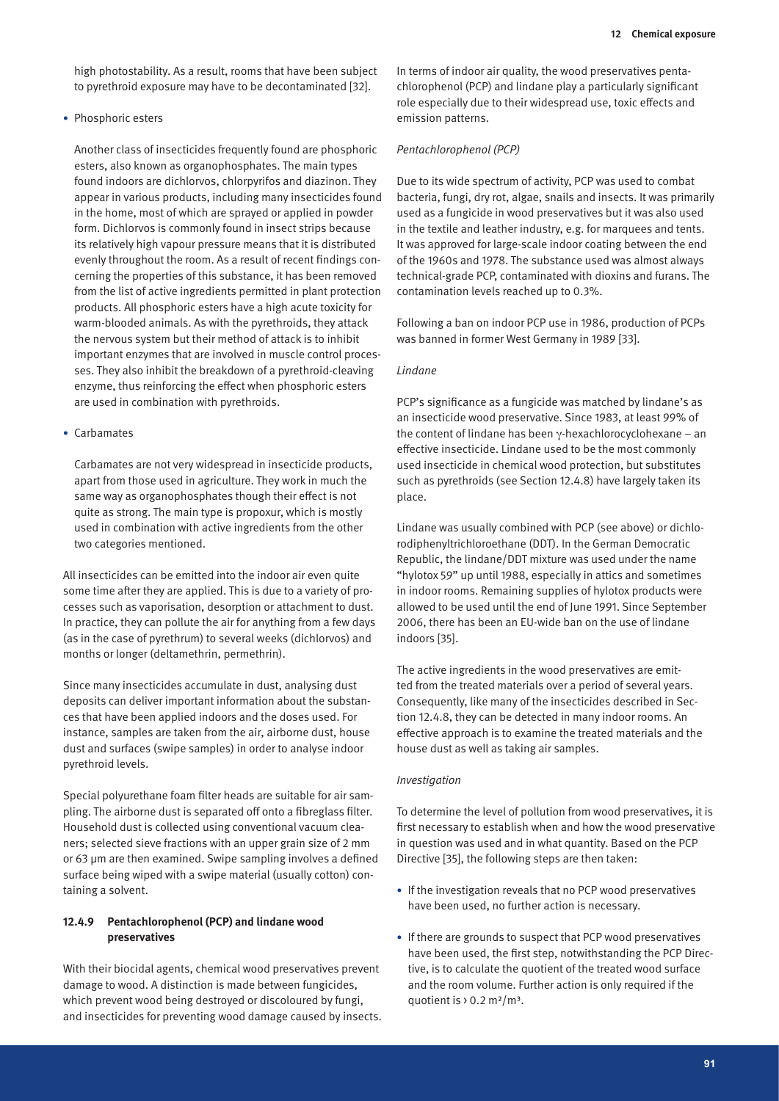high photostability. As a result, rooms that have been subject to pyrethroid exposure may have to be decontaminated [32].

#### • Phosphoric esters

Another class of insecticides frequently found are phosphoric esters, also known as organophosphates. The main types found indoors are dichlorvos, chlorpyrifos and diazinon. They appear in various products, including many insecticides found in the home, most of which are sprayed or applied in powder form. Dichlorvos is commonly found in insect strips because its relatively high vapour pressure means that it is distributed evenly throughout the room. As a result of recent findings concerning the properties of this substance, it has been removed from the list of active ingredients permitted in plant protection products. All phosphoric esters have a high acute toxicity for warm-blooded animals. As with the pyrethroids, they attack the nervous system but their method of attack is to inhibit important enzymes that are involved in muscle control processes. They also inhibit the breakdown of a pyrethroid-cleaving enzyme, thus reinforcing the effect when phosphoric esters are used in combination with pyrethroids.

#### • Carbamates

Carbamates are not very widespread in insecticide products, apart from those used in agriculture. They work in much the same way as organophosphates though their effect is not quite as strong. The main type is propoxur, which is mostly used in combination with active ingredients from the other two categories mentioned.

All insecticides can be emitted into the indoor air even quite some time after they are applied. This is due to a variety of processes such as vaporisation, desorption or attachment to dust. In practice, they can pollute the air for anything from a few days (as in the case of pyrethrum) to several weeks (dichlorvos) and months or longer (deltamethrin, permethrin).

Since many insecticides accumulate in dust, analysing dust deposits can deliver important information about the substances that have been applied indoors and the doses used. For instance, samples are taken from the air, airborne dust, house dust and surfaces (swipe samples) in order to analyse indoor pyrethroid levels.

Special polyurethane foam filter heads are suitable for air sampling. The airborne dust is separated off onto a fibreglass filter. Household dust is collected using conventional vacuum cleaners; selected sieve fractions with an upper grain size of 2 mm or 63 µm are then examined. Swipe sampling involves a defined surface being wiped with a swipe material (usually cotton) containing a solvent.

#### **12.4.9 Pentachlorophenol (PCP) and lindane wood preservatives**

With their biocidal agents, chemical wood preservatives prevent damage to wood. A distinction is made between fungicides, which prevent wood being destroyed or discoloured by fungi, and insecticides for preventing wood damage caused by insects. In terms of indoor air quality, the wood preservatives pentachlorophenol (PCP) and lindane play a particularly significant role especially due to their widespread use, toxic effects and emission patterns.

#### *Pentachlorophenol (PCP)*

Due to its wide spectrum of activity, PCP was used to combat bacteria, fungi, dry rot, algae, snails and insects. It was primarily used as a fungicide in wood preservatives but it was also used in the textile and leather industry, e.g. for marquees and tents. It was approved for large-scale indoor coating between the end of the 1960s and 1978. The substance used was almost always technical-grade PCP, contaminated with dioxins and furans. The contamination levels reached up to 0.3%.

Following a ban on indoor PCP use in 1986, production of PCPs was banned in former West Germany in 1989 [33].

#### *Lindane*

PCP's significance as a fungicide was matched by lindane's as an insecticide wood preservative. Since 1983, at least 99% of the content of lindane has been γ-hexachlorocyclohexane – an effective insecticide. Lindane used to be the most commonly used insecticide in chemical wood protection, but substitutes such as pyrethroids (see Section 12.4.8) have largely taken its place.

Lindane was usually combined with PCP (see above) or dichlorodiphenyltrichloroethane (DDT). In the German Democratic Republic, the lindane/DDT mixture was used under the name "hylotox 59" up until 1988, especially in attics and sometimes in indoor rooms. Remaining supplies of hylotox products were allowed to be used until the end of June 1991. Since September 2006, there has been an EU-wide ban on the use of lindane indoors [35].

The active ingredients in the wood preservatives are emitted from the treated materials over a period of several years. Consequently, like many of the insecticides described in Section 12.4.8, they can be detected in many indoor rooms. An effective approach is to examine the treated materials and the house dust as well as taking air samples.

#### *Investigation*

To determine the level of pollution from wood preservatives, it is first necessary to establish when and how the wood preservative in question was used and in what quantity. Based on the PCP Directive [35], the following steps are then taken:

- If the investigation reveals that no PCP wood preservatives have been used, no further action is necessary.
- If there are grounds to suspect that PCP wood preservatives have been used, the first step, notwithstanding the PCP Directive, is to calculate the quotient of the treated wood surface and the room volume. Further action is only required if the quotient is  $> 0.2$  m<sup>2</sup>/m<sup>3</sup>.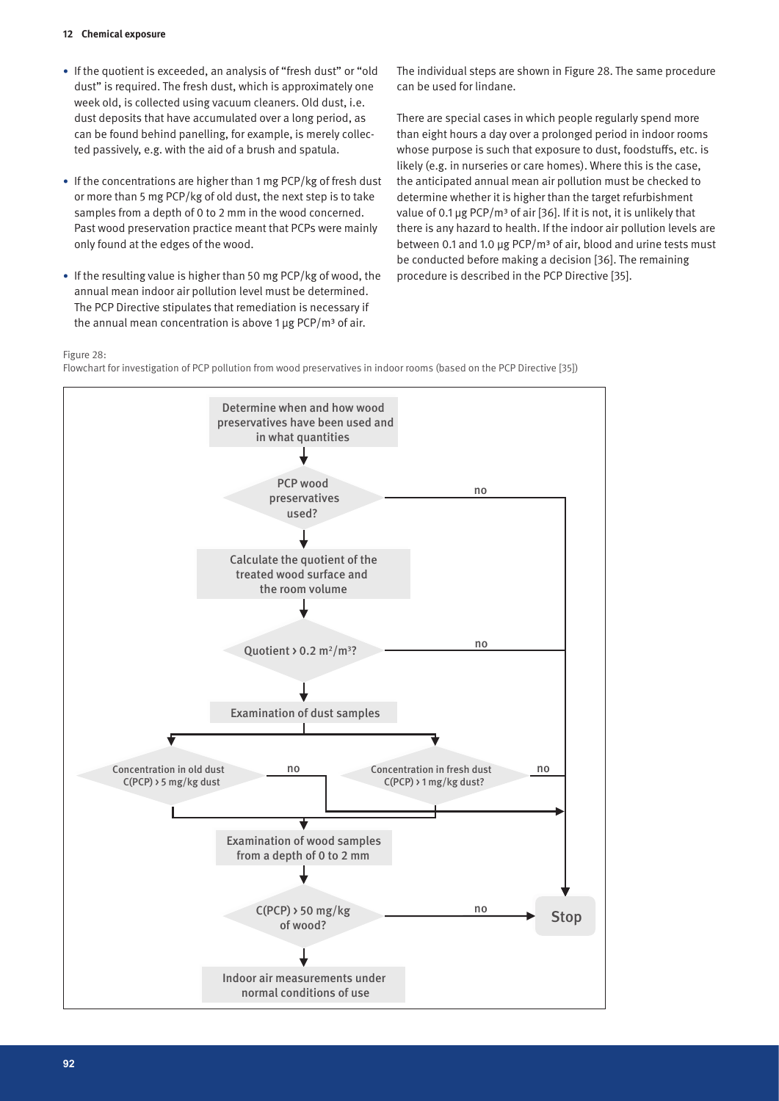- If the quotient is exceeded, an analysis of "fresh dust" or "old dust" is required. The fresh dust, which is approximately one week old, is collected using vacuum cleaners. Old dust, i.e. dust deposits that have accumulated over a long period, as can be found behind panelling, for example, is merely collected passively, e.g. with the aid of a brush and spatula.
- If the concentrations are higher than 1 mg PCP/kg of fresh dust or more than 5 mg PCP/kg of old dust, the next step is to take samples from a depth of 0 to 2 mm in the wood concerned. Past wood preservation practice meant that PCPs were mainly only found at the edges of the wood.
- If the resulting value is higher than 50 mg PCP/kg of wood, the annual mean indoor air pollution level must be determined. The PCP Directive stipulates that remediation is necessary if the annual mean concentration is above 1  $\mu$ g PCP/m<sup>3</sup> of air.

The individual steps are shown in Figure 28. The same procedure can be used for lindane.

There are special cases in which people regularly spend more than eight hours a day over a prolonged period in indoor rooms whose purpose is such that exposure to dust, foodstuffs, etc. is likely (e.g. in nurseries or care homes). Where this is the case, the anticipated annual mean air pollution must be checked to determine whether it is higher than the target refurbishment value of 0.1 µg PCP/m<sup>3</sup> of air [36]. If it is not, it is unlikely that there is any hazard to health. If the indoor air pollution levels are between 0.1 and 1.0 µg PCP/m<sup>3</sup> of air, blood and urine tests must be conducted before making a decision [36]. The remaining procedure is described in the PCP Directive [35].

#### Figure 28:

Flowchart for investigation of PCP pollution from wood preservatives in indoor rooms (based on the PCP Directive [35])

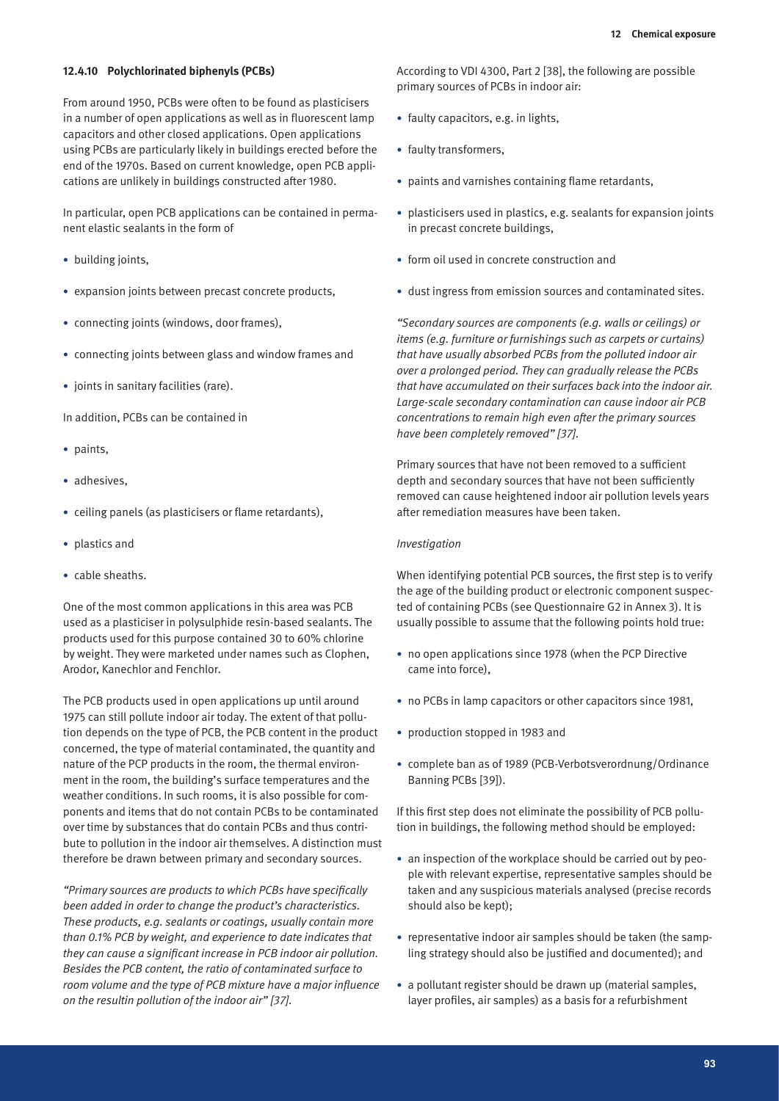#### **12.4.10 Polychlorinated biphenyls (PCBs)**

From around 1950, PCBs were often to be found as plasticisers in a number of open applications as well as in fluorescent lamp capacitors and other closed applications. Open applications using PCBs are particularly likely in buildings erected before the end of the 1970s. Based on current knowledge, open PCB applications are unlikely in buildings constructed after 1980.

In particular, open PCB applications can be contained in permanent elastic sealants in the form of

- building joints,
- expansion joints between precast concrete products,
- connecting joints (windows, door frames),
- connecting joints between glass and window frames and
- • joints in sanitary facilities (rare).

In addition, PCBs can be contained in

- paints,
- adhesives.
- ceiling panels (as plasticisers or flame retardants),
- plastics and
- cable sheaths.

One of the most common applications in this area was PCB used as a plasticiser in polysulphide resin-based sealants. The products used for this purpose contained 30 to 60% chlorine by weight. They were marketed under names such as Clophen, Arodor, Kanechlor and Fenchlor.

The PCB products used in open applications up until around 1975 can still pollute indoor air today. The extent of that pollution depends on the type of PCB, the PCB content in the product concerned, the type of material contaminated, the quantity and nature of the PCP products in the room, the thermal environment in the room, the building's surface temperatures and the weather conditions. In such rooms, it is also possible for components and items that do not contain PCBs to be contaminated over time by substances that do contain PCBs and thus contribute to pollution in the indoor air themselves. A distinction must therefore be drawn between primary and secondary sources.

*"Primary sources are products to which PCBs have specifically been added in order to change the product's characteristics. These products, e.g. sealants or coatings, usually contain more than 0.1% PCB by weight, and experience to date indicates that they can cause a significant increase in PCB indoor air pollution. Besides the PCB content, the ratio of contaminated surface to room volume and the type of PCB mixture have a major influence on the resultin pollution of the indoor air" [37].*

According to VDI 4300, Part 2 [38], the following are possible primary sources of PCBs in indoor air:

- faulty capacitors, e.g. in lights,
- faulty transformers,
- paints and varnishes containing flame retardants,
- plasticisers used in plastics, e.g. sealants for expansion joints in precast concrete buildings,
- form oil used in concrete construction and
- dust ingress from emission sources and contaminated sites.

*"Secondary sources are components (e.g. walls or ceilings) or items (e.g. furniture or furnishings such as carpets or curtains) that have usually absorbed PCBs from the polluted indoor air over a prolonged period. They can gradually release the PCBs that have accumulated on their surfaces back into the indoor air. Large-scale secondary contamination can cause indoor air PCB concentrations to remain high even after the primary sources have been completely removed" [37].*

Primary sources that have not been removed to a sufficient depth and secondary sources that have not been sufficiently removed can cause heightened indoor air pollution levels years after remediation measures have been taken.

#### *Investigation*

When identifying potential PCB sources, the first step is to verify the age of the building product or electronic component suspected of containing PCBs (see Questionnaire G2 in Annex 3). It is usually possible to assume that the following points hold true:

- no open applications since 1978 (when the PCP Directive came into force),
- no PCBs in lamp capacitors or other capacitors since 1981,
- production stopped in 1983 and
- complete ban as of 1989 (PCB-Verbotsverordnung/Ordinance Banning PCBs [39]).

If this first step does not eliminate the possibility of PCB pollution in buildings, the following method should be employed:

- an inspection of the workplace should be carried out by people with relevant expertise, representative samples should be taken and any suspicious materials analysed (precise records should also be kept);
- representative indoor air samples should be taken (the sampling strategy should also be justified and documented); and
- a pollutant register should be drawn up (material samples, layer profiles, air samples) as a basis for a refurbishment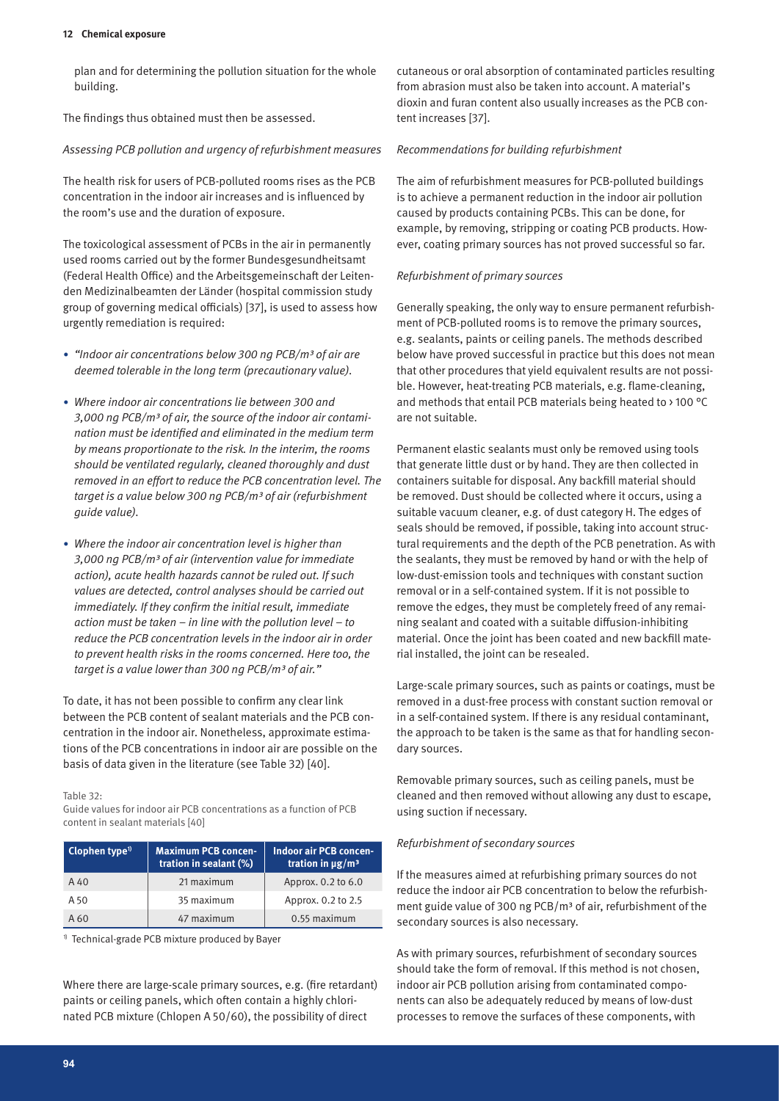plan and for determining the pollution situation for the whole building.

The findings thus obtained must then be assessed.

### *Assessing PCB pollution and urgency of refurbishment measures*

The health risk for users of PCB-polluted rooms rises as the PCB concentration in the indoor air increases and is influenced by the room's use and the duration of exposure.

The toxicological assessment of PCBs in the air in permanently used rooms carried out by the former Bundesgesundheitsamt (Federal Health Office) and the Arbeitsgemeinschaft der Leitenden Medizinalbeamten der Länder (hospital commission study group of governing medical officials) [37], is used to assess how urgently remediation is required:

- *• "Indoor air concentrations below 300 ng PCB/m³ of air are deemed tolerable in the long term (precautionary value).*
- *• Where indoor air concentrations lie between 300 and 3,000 ng PCB/m³ of air, the source of the indoor air contamination must be identified and eliminated in the medium term by means proportionate to the risk. In the interim, the rooms should be ventilated regularly, cleaned thoroughly and dust removed in an effort to reduce the PCB concentration level. The target is a value below 300 ng PCB/m³ of air (refurbishment guide value).*
- *• Where the indoor air concentration level is higher than 3,000 ng PCB/m³ of air (intervention value for immediate action), acute health hazards cannot be ruled out. If such values are detected, control analyses should be carried out immediately. If they confirm the initial result, immediate action must be taken – in line with the pollution level – to reduce the PCB concentration levels in the indoor air in order to prevent health risks in the rooms concerned. Here too, the target is a value lower than 300 ng PCB/m³ of air."*

To date, it has not been possible to confirm any clear link between the PCB content of sealant materials and the PCB concentration in the indoor air. Nonetheless, approximate estimations of the PCB concentrations in indoor air are possible on the basis of data given in the literature (see Table 32) [40].

Table 32:

Guide values for indoor air PCB concentrations as a function of PCB content in sealant materials [40]

| Clophen type $1$<br><b>Maximum PCB concen-</b><br>tration in sealant (%) |            | <b>Indoor air PCB concen-</b><br>tration in $\mu$ g/m <sup>3</sup> |
|--------------------------------------------------------------------------|------------|--------------------------------------------------------------------|
| $A$ 40                                                                   | 21 maximum | Approx. 0.2 to 6.0                                                 |
| A 50                                                                     | 35 maximum | Approx. 0.2 to 2.5                                                 |
| A 60                                                                     | 47 maximum | 0.55 maximum                                                       |

1) Technical-grade PCB mixture produced by Bayer

Where there are large-scale primary sources, e.g. (fire retardant) paints or ceiling panels, which often contain a highly chlorinated PCB mixture (Chlopen A 50/60), the possibility of direct

cutaneous or oral absorption of contaminated particles resulting from abrasion must also be taken into account. A material's dioxin and furan content also usually increases as the PCB content increases [37].

### *Recommendations for building refurbishment*

The aim of refurbishment measures for PCB-polluted buildings is to achieve a permanent reduction in the indoor air pollution caused by products containing PCBs. This can be done, for example, by removing, stripping or coating PCB products. However, coating primary sources has not proved successful so far.

### *Refurbishment of primary sources*

Generally speaking, the only way to ensure permanent refurbishment of PCB-polluted rooms is to remove the primary sources, e.g. sealants, paints or ceiling panels. The methods described below have proved successful in practice but this does not mean that other procedures that yield equivalent results are not possible. However, heat-treating PCB materials, e.g. flame-cleaning, and methods that entail PCB materials being heated to > 100 °C are not suitable.

Permanent elastic sealants must only be removed using tools that generate little dust or by hand. They are then collected in containers suitable for disposal. Any backfill material should be removed. Dust should be collected where it occurs, using a suitable vacuum cleaner, e.g. of dust category H. The edges of seals should be removed, if possible, taking into account structural requirements and the depth of the PCB penetration. As with the sealants, they must be removed by hand or with the help of low-dust-emission tools and techniques with constant suction removal or in a self-contained system. If it is not possible to remove the edges, they must be completely freed of any remaining sealant and coated with a suitable diffusion-inhibiting material. Once the joint has been coated and new backfill material installed, the joint can be resealed.

Large-scale primary sources, such as paints or coatings, must be removed in a dust-free process with constant suction removal or in a self-contained system. If there is any residual contaminant, the approach to be taken is the same as that for handling secondary sources.

Removable primary sources, such as ceiling panels, must be cleaned and then removed without allowing any dust to escape, using suction if necessary.

### *Refurbishment of secondary sources*

If the measures aimed at refurbishing primary sources do not reduce the indoor air PCB concentration to below the refurbishment guide value of 300 ng PCB/m<sup>3</sup> of air, refurbishment of the secondary sources is also necessary.

As with primary sources, refurbishment of secondary sources should take the form of removal. If this method is not chosen, indoor air PCB pollution arising from contaminated components can also be adequately reduced by means of low-dust processes to remove the surfaces of these components, with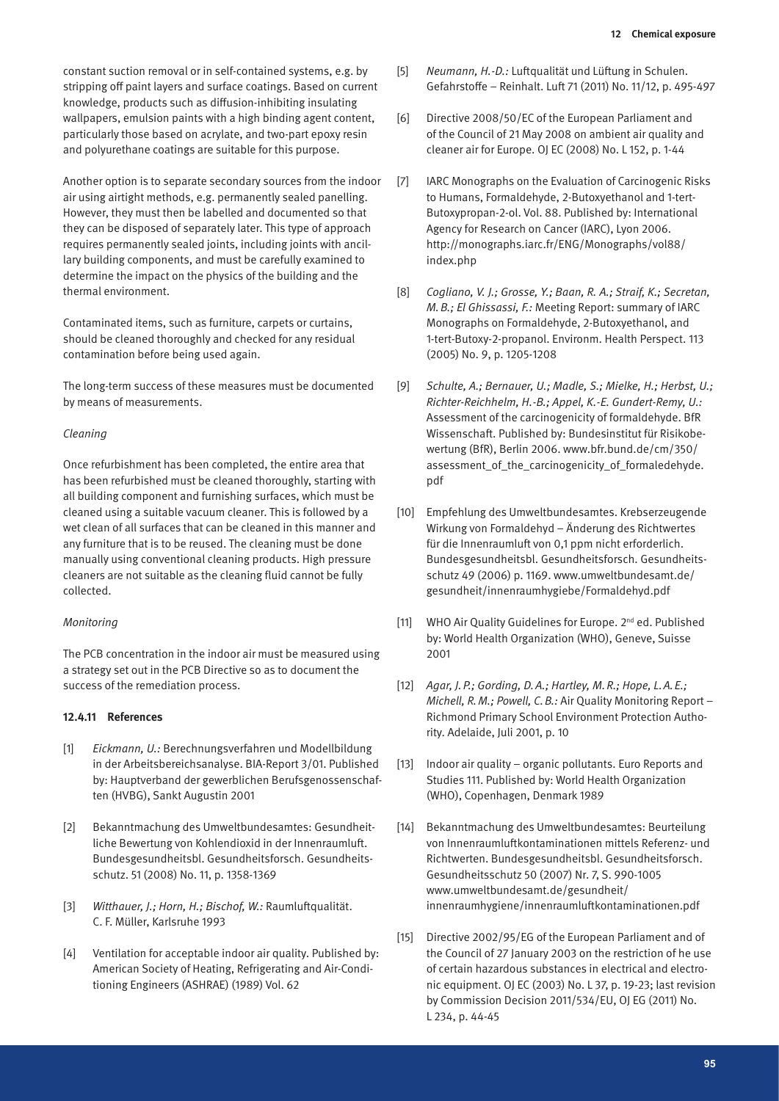constant suction removal or in self-contained systems, e.g. by stripping off paint layers and surface coatings. Based on current knowledge, products such as diffusion-inhibiting insulating wallpapers, emulsion paints with a high binding agent content, particularly those based on acrylate, and two-part epoxy resin and polyurethane coatings are suitable for this purpose.

Another option is to separate secondary sources from the indoor air using airtight methods, e.g. permanently sealed panelling. However, they must then be labelled and documented so that they can be disposed of separately later. This type of approach requires permanently sealed joints, including joints with ancillary building components, and must be carefully examined to determine the impact on the physics of the building and the thermal environment.

Contaminated items, such as furniture, carpets or curtains, should be cleaned thoroughly and checked for any residual contamination before being used again.

The long-term success of these measures must be documented by means of measurements.

#### *Cleaning*

Once refurbishment has been completed, the entire area that has been refurbished must be cleaned thoroughly, starting with all building component and furnishing surfaces, which must be cleaned using a suitable vacuum cleaner. This is followed by a wet clean of all surfaces that can be cleaned in this manner and any furniture that is to be reused. The cleaning must be done manually using conventional cleaning products. High pressure cleaners are not suitable as the cleaning fluid cannot be fully collected.

#### *Monitoring*

The PCB concentration in the indoor air must be measured using a strategy set out in the PCB Directive so as to document the success of the remediation process.

#### **12.4.11 References**

- [1] *Eickmann, U.:* Berechnungsverfahren und Modellbildung in der Arbeitsbereichsanalyse. BIA-Report 3/01. Published by: Hauptverband der gewerblichen Berufsgenossenschaften (HVBG), Sankt Augustin 2001
- [2] Bekanntmachung des Umweltbundesamtes: Gesundheitliche Bewertung von Kohlendioxid in der Innenraumluft. Bundesgesundheitsbl. Gesundheitsforsch. Gesundheitsschutz. 51 (2008) No. 11, p. 1358-1369
- [3] *Witthauer, J.; Horn, H.; Bischof, W.:* Raumluftqualität. C. F. Müller, Karlsruhe 1993
- [4] Ventilation for acceptable indoor air quality. Published by: American Society of Heating, Refrigerating and Air-Conditioning Engineers (ASHRAE) (1989) Vol. 62
- [5] *Neumann, H.-D.:* Luftqualität und Lüftung in Schulen. Gefahrstoffe – Reinhalt. Luft 71 (2011) No. 11/12, p. 495-497
- [6] Directive 2008/50/EC of the European Parliament and of the Council of 21 May 2008 on ambient air quality and cleaner air for Europe. OJ EC (2008) No. L 152, p. 1-44
- [7] IARC Monographs on the Evaluation of Carcinogenic Risks to Humans, Formaldehyde, 2-Butoxyethanol and 1-tert-Butoxypropan-2-ol. Vol. 88. Published by: International Agency for Research on Cancer (IARC), Lyon 2006. http://monographs.iarc.fr/ENG/Monographs/vol88/ index.php
- [8] *Cogliano, V. J.; Grosse, Y.; Baan, R. A.; Straif, K.; Secretan, M.B.; El Ghissassi, F.:* Meeting Report: summary of IARC Monographs on Formaldehyde, 2-Butoxyethanol, and 1-tert-Butoxy-2-propanol. Environm. Health Perspect. 113 (2005) No. 9, p. 1205-1208
- [9] *Schulte, A.; Bernauer, U.; Madle, S.; Mielke, H.; Herbst, U.; Richter-Reichhelm, H.-B.; Appel, K.-E. Gundert-Remy, U.:* Assessment of the carcinogenicity of formaldehyde. BfR Wissenschaft. Published by: Bundesinstitut für Risikobewertung (BfR), Berlin 2006. www.bfr.bund.de/cm/350/ assessment\_of\_the\_carcinogenicity\_of\_formaledehyde. pdf
- [10] Empfehlung des Umweltbundesamtes. Krebserzeugende Wirkung von Formaldehyd – Änderung des Richtwertes für die Innenraumluft von 0,1 ppm nicht erforderlich. Bundesgesundheitsbl. Gesundheitsforsch. Gesundheitsschutz 49 (2006) p. 1169. www.umweltbundesamt.de/ gesundheit/innenraumhygiebe/Formaldehyd.pdf
- [11] WHO Air Quality Guidelines for Europe. 2<sup>nd</sup> ed. Published by: World Health Organization (WHO), Geneve, Suisse 2001
- [12] *Agar, J.P.; Gording, D.A.; Hartley, M.R.; Hope, L.A.E.; Michell, R.M.; Powell, C.B.:* Air Quality Monitoring Report – Richmond Primary School Environment Protection Authority. Adelaide, Juli 2001, p. 10
- [13] Indoor air quality organic pollutants. Euro Reports and Studies 111. Published by: World Health Organization (WHO), Copenhagen, Denmark 1989
- [14] Bekanntmachung des Umweltbundesamtes: Beurteilung von Innenraumluftkontaminationen mittels Referenz- und Richtwerten. Bundesgesundheitsbl. Gesundheitsforsch. Gesundheitsschutz 50 (2007) Nr. 7, S. 990-1005 www.umweltbundesamt.de/gesundheit/ innenraumhygiene/innenraumluftkontaminationen.pdf
- [15] Directive 2002/95/EG of the European Parliament and of the Council of 27 January 2003 on the restriction of he use of certain hazardous substances in electrical and electronic equipment. OJ EC (2003) No. L 37, p. 19-23; last revision by Commission Decision 2011/534/EU, OJ EG (2011) No. L 234, p. 44-45